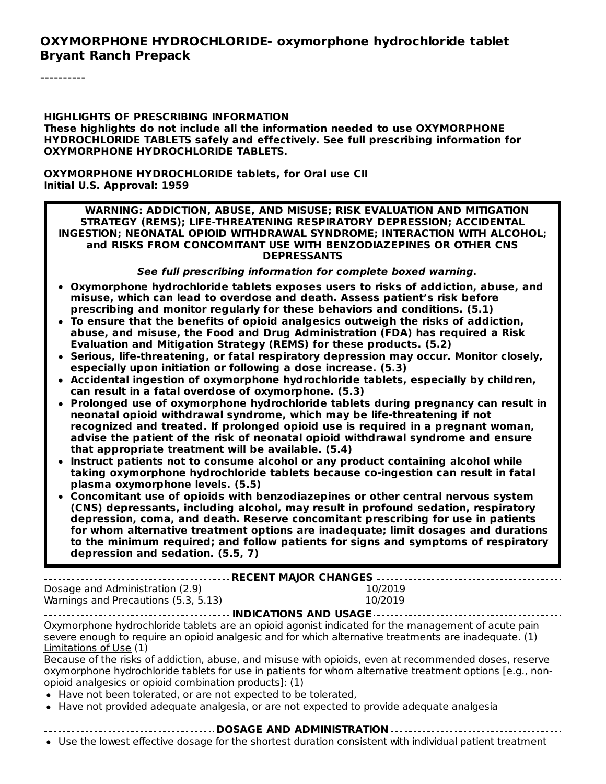#### **OXYMORPHONE HYDROCHLORIDE- oxymorphone hydrochloride tablet Bryant Ranch Prepack**

**HIGHLIGHTS OF PRESCRIBING INFORMATION These highlights do not include all the information needed to use OXYMORPHONE HYDROCHLORIDE TABLETS safely and effectively. See full prescribing information for OXYMORPHONE HYDROCHLORIDE TABLETS.**

**OXYMORPHONE HYDROCHLORIDE tablets, for Oral use CII Initial U.S. Approval: 1959**

#### **WARNING: ADDICTION, ABUSE, AND MISUSE; RISK EVALUATION AND MITIGATION STRATEGY (REMS); LIFE-THREATENING RESPIRATORY DEPRESSION; ACCIDENTAL INGESTION; NEONATAL OPIOID WITHDRAWAL SYNDROME; INTERACTION WITH ALCOHOL; and RISKS FROM CONCOMITANT USE WITH BENZODIAZEPINES OR OTHER CNS DEPRESSANTS**

**See full prescribing information for complete boxed warning.**

- **Oxymorphone hydrochloride tablets exposes users to risks of addiction, abuse, and misuse, which can lead to overdose and death. Assess patient's risk before prescribing and monitor regularly for these behaviors and conditions. (5.1)**
- **To ensure that the benefits of opioid analgesics outweigh the risks of addiction, abuse, and misuse, the Food and Drug Administration (FDA) has required a Risk Evaluation and Mitigation Strategy (REMS) for these products. (5.2)**
- **Serious, life-threatening, or fatal respiratory depression may occur. Monitor closely, especially upon initiation or following a dose increase. (5.3)**
- **Accidental ingestion of oxymorphone hydrochloride tablets, especially by children, can result in a fatal overdose of oxymorphone. (5.3)**
- **Prolonged use of oxymorphone hydrochloride tablets during pregnancy can result in neonatal opioid withdrawal syndrome, which may be life-threatening if not recognized and treated. If prolonged opioid use is required in a pregnant woman, advise the patient of the risk of neonatal opioid withdrawal syndrome and ensure that appropriate treatment will be available. (5.4)**
- **Instruct patients not to consume alcohol or any product containing alcohol while taking oxymorphone hydrochloride tablets because co-ingestion can result in fatal plasma oxymorphone levels. (5.5)**
- **Concomitant use of opioids with benzodiazepines or other central nervous system (CNS) depressants, including alcohol, may result in profound sedation, respiratory depression, coma, and death. Reserve concomitant prescribing for use in patients for whom alternative treatment options are inadequate; limit dosages and durations to the minimum required; and follow patients for signs and symptoms of respiratory depression and sedation. (5.5, 7)**

<u>. . . . . . . . .</u>

| Dosage and Administration (2.9)      | 10/2019               |  |
|--------------------------------------|-----------------------|--|
| Warnings and Precautions (5.3, 5.13) | 10/2019               |  |
|                                      | INDICATIONS AND HEAGE |  |

**INDICATIONS AND USAGE** Oxymorphone hydrochloride tablets are an opioid agonist indicated for the management of acute pain severe enough to require an opioid analgesic and for which alternative treatments are inadequate. (1) Limitations of Use (1)

Because of the risks of addiction, abuse, and misuse with opioids, even at recommended doses, reserve oxymorphone hydrochloride tablets for use in patients for whom alternative treatment options [e.g., nonopioid analgesics or opioid combination products]: (1)

- Have not been tolerated, or are not expected to be tolerated,
- Have not provided adequate analgesia, or are not expected to provide adequate analgesia
- **DOSAGE AND ADMINISTRATION**
- Use the lowest effective dosage for the shortest duration consistent with individual patient treatment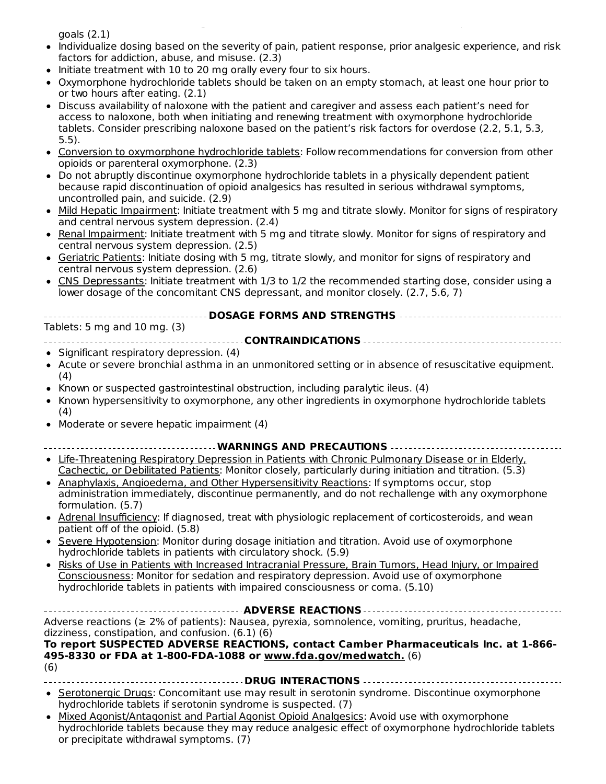Use the lowest effective dosage for the shortest duration consistent with individual patient treatment goals (2.1)

- Individualize dosing based on the severity of pain, patient response, prior analgesic experience, and risk factors for addiction, abuse, and misuse. (2.3)
- Initiate treatment with 10 to 20 mg orally every four to six hours.
- Oxymorphone hydrochloride tablets should be taken on an empty stomach, at least one hour prior to or two hours after eating. (2.1)
- Discuss availability of naloxone with the patient and caregiver and assess each patient's need for  $\bullet$ access to naloxone, both when initiating and renewing treatment with oxymorphone hydrochloride tablets. Consider prescribing naloxone based on the patient's risk factors for overdose (2.2, 5.1, 5.3, 5.5).
- Conversion to oxymorphone hydrochloride tablets: Follow recommendations for conversion from other opioids or parenteral oxymorphone. (2.3)
- Do not abruptly discontinue oxymorphone hydrochloride tablets in a physically dependent patient because rapid discontinuation of opioid analgesics has resulted in serious withdrawal symptoms, uncontrolled pain, and suicide. (2.9)
- Mild Hepatic Impairment: Initiate treatment with 5 mg and titrate slowly. Monitor for signs of respiratory and central nervous system depression. (2.4)
- Renal Impairment: Initiate treatment with 5 mg and titrate slowly. Monitor for signs of respiratory and central nervous system depression. (2.5)
- Geriatric Patients: Initiate dosing with 5 mg, titrate slowly, and monitor for signs of respiratory and central nervous system depression. (2.6)
- CNS Depressants: Initiate treatment with 1/3 to 1/2 the recommended starting dose, consider using a  $\bullet$ lower dosage of the concomitant CNS depressant, and monitor closely. (2.7, 5.6, 7)

#### **DOSAGE FORMS AND STRENGTHS** Tablets: 5 mg and 10 mg. (3)

#### **CONTRAINDICATIONS**

- Significant respiratory depression. (4)
- Acute or severe bronchial asthma in an unmonitored setting or in absence of resuscitative equipment. (4)
- Known or suspected gastrointestinal obstruction, including paralytic ileus. (4)  $\bullet$
- Known hypersensitivity to oxymorphone, any other ingredients in oxymorphone hydrochloride tablets  $\bullet$ (4)
- Moderate or severe hepatic impairment (4)  $\bullet$

#### **WARNINGS AND PRECAUTIONS**

- Life-Threatening Respiratory Depression in Patients with Chronic Pulmonary Disease or in Elderly, Cachectic, or Debilitated Patients: Monitor closely, particularly during initiation and titration. (5.3)
- Anaphylaxis, Angioedema, and Other Hypersensitivity Reactions: If symptoms occur, stop administration immediately, discontinue permanently, and do not rechallenge with any oxymorphone formulation. (5.7)
- Adrenal Insufficiency: If diagnosed, treat with physiologic replacement of corticosteroids, and wean patient off of the opioid. (5.8)
- Severe Hypotension: Monitor during dosage initiation and titration. Avoid use of oxymorphone hydrochloride tablets in patients with circulatory shock. (5.9)
- Risks of Use in Patients with Increased Intracranial Pressure, Brain Tumors, Head Injury, or Impaired Consciousness: Monitor for sedation and respiratory depression. Avoid use of oxymorphone hydrochloride tablets in patients with impaired consciousness or coma. (5.10)
- **ADVERSE REACTIONS** Adverse reactions ( $\geq 2\%$  of patients): Nausea, pyrexia, somnolence, vomiting, pruritus, headache, dizziness, constipation, and confusion. (6.1) (6) **To report SUSPECTED ADVERSE REACTIONS, contact Camber Pharmaceuticals Inc. at 1-866-**

#### **495-8330 or FDA at 1-800-FDA-1088 or www.fda.gov/medwatch.** (6) (6)

- **DRUG INTERACTIONS**
- Serotonergic Drugs: Concomitant use may result in serotonin syndrome. Discontinue oxymorphone hydrochloride tablets if serotonin syndrome is suspected. (7)
- Mixed Agonist/Antagonist and Partial Agonist Opioid Analgesics: Avoid use with oxymorphone hydrochloride tablets because they may reduce analgesic effect of oxymorphone hydrochloride tablets or precipitate withdrawal symptoms. (7)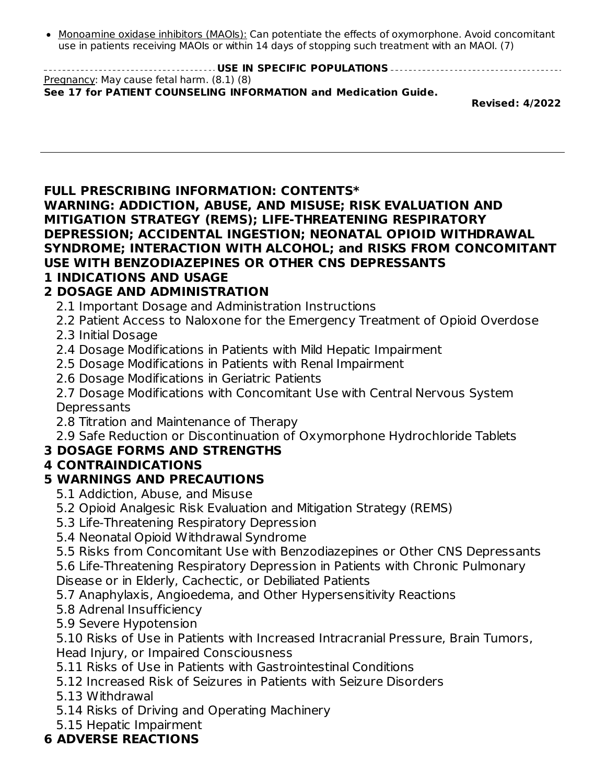Monoamine oxidase inhibitors (MAOIs): Can potentiate the effects of oxymorphone. Avoid concomitant use in patients receiving MAOIs or within 14 days of stopping such treatment with an MAOI. (7)

**USE IN SPECIFIC POPULATIONS** Pregnancy: May cause fetal harm. (8.1) (8) **See 17 for PATIENT COUNSELING INFORMATION and Medication Guide.**

**Revised: 4/2022**

#### **FULL PRESCRIBING INFORMATION: CONTENTS\***

**WARNING: ADDICTION, ABUSE, AND MISUSE; RISK EVALUATION AND MITIGATION STRATEGY (REMS); LIFE-THREATENING RESPIRATORY DEPRESSION; ACCIDENTAL INGESTION; NEONATAL OPIOID WITHDRAWAL SYNDROME; INTERACTION WITH ALCOHOL; and RISKS FROM CONCOMITANT USE WITH BENZODIAZEPINES OR OTHER CNS DEPRESSANTS**

#### **1 INDICATIONS AND USAGE**

### **2 DOSAGE AND ADMINISTRATION**

- 2.1 Important Dosage and Administration Instructions
- 2.2 Patient Access to Naloxone for the Emergency Treatment of Opioid Overdose
- 2.3 Initial Dosage
- 2.4 Dosage Modifications in Patients with Mild Hepatic Impairment
- 2.5 Dosage Modifications in Patients with Renal Impairment
- 2.6 Dosage Modifications in Geriatric Patients
- 2.7 Dosage Modifications with Concomitant Use with Central Nervous System **Depressants**
- 2.8 Titration and Maintenance of Therapy
- 2.9 Safe Reduction or Discontinuation of Oxymorphone Hydrochloride Tablets

## **3 DOSAGE FORMS AND STRENGTHS**

## **4 CONTRAINDICATIONS**

## **5 WARNINGS AND PRECAUTIONS**

- 5.1 Addiction, Abuse, and Misuse
- 5.2 Opioid Analgesic Risk Evaluation and Mitigation Strategy (REMS)
- 5.3 Life-Threatening Respiratory Depression
- 5.4 Neonatal Opioid Withdrawal Syndrome
- 5.5 Risks from Concomitant Use with Benzodiazepines or Other CNS Depressants
- 5.6 Life-Threatening Respiratory Depression in Patients with Chronic Pulmonary
- Disease or in Elderly, Cachectic, or Debiliated Patients
- 5.7 Anaphylaxis, Angioedema, and Other Hypersensitivity Reactions
- 5.8 Adrenal Insufficiency
- 5.9 Severe Hypotension
- 5.10 Risks of Use in Patients with Increased Intracranial Pressure, Brain Tumors, Head Injury, or Impaired Consciousness
- 5.11 Risks of Use in Patients with Gastrointestinal Conditions
- 5.12 Increased Risk of Seizures in Patients with Seizure Disorders
- 5.13 Withdrawal
- 5.14 Risks of Driving and Operating Machinery
- 5.15 Hepatic Impairment

## **6 ADVERSE REACTIONS**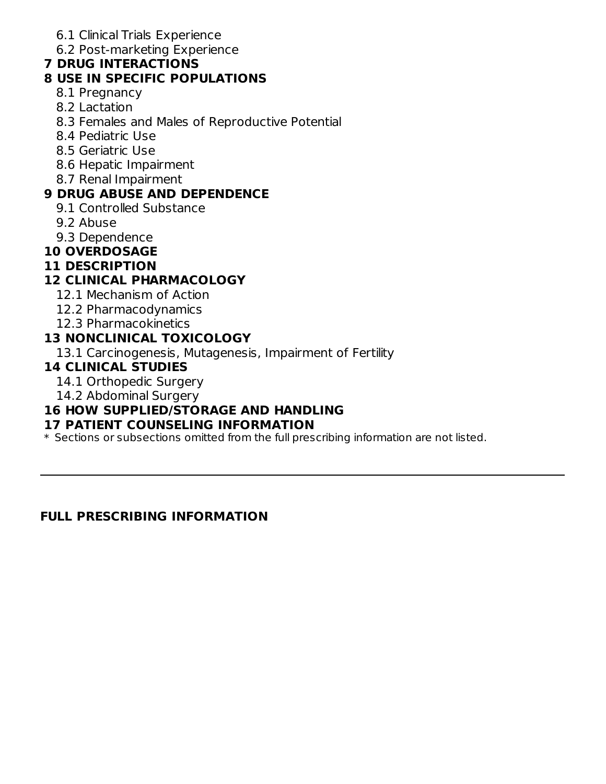- 6.1 Clinical Trials Experience
- 6.2 Post-marketing Experience

#### **7 DRUG INTERACTIONS**

### **8 USE IN SPECIFIC POPULATIONS**

- 8.1 Pregnancy
- 8.2 Lactation
- 8.3 Females and Males of Reproductive Potential
- 8.4 Pediatric Use
- 8.5 Geriatric Use
- 8.6 Hepatic Impairment
- 8.7 Renal Impairment

## **9 DRUG ABUSE AND DEPENDENCE**

- 9.1 Controlled Substance
- 9.2 Abuse
- 9.3 Dependence

## **10 OVERDOSAGE**

## **11 DESCRIPTION**

## **12 CLINICAL PHARMACOLOGY**

- 12.1 Mechanism of Action
- 12.2 Pharmacodynamics
- 12.3 Pharmacokinetics

## **13 NONCLINICAL TOXICOLOGY**

13.1 Carcinogenesis, Mutagenesis, Impairment of Fertility

## **14 CLINICAL STUDIES**

- 14.1 Orthopedic Surgery
- 14.2 Abdominal Surgery

## **16 HOW SUPPLIED/STORAGE AND HANDLING**

### **17 PATIENT COUNSELING INFORMATION**

\* Sections or subsections omitted from the full prescribing information are not listed.

### **FULL PRESCRIBING INFORMATION**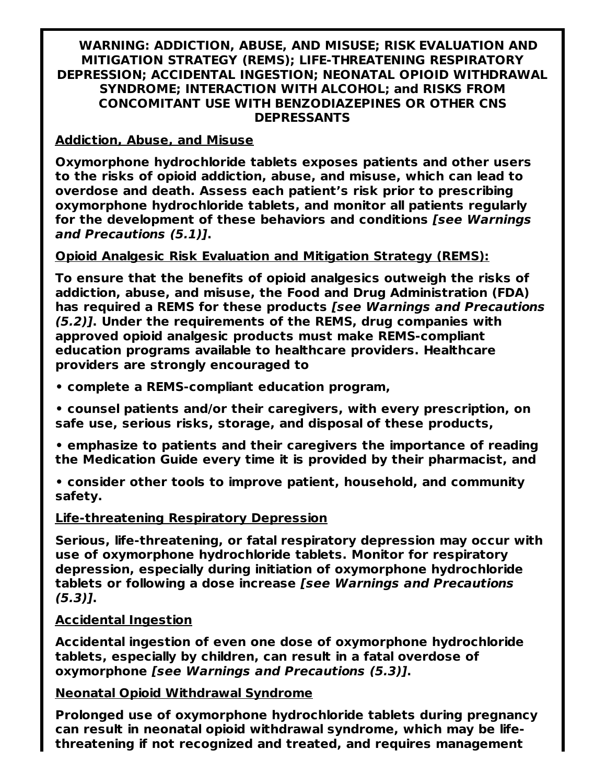#### **WARNING: ADDICTION, ABUSE, AND MISUSE; RISK EVALUATION AND MITIGATION STRATEGY (REMS); LIFE-THREATENING RESPIRATORY DEPRESSION; ACCIDENTAL INGESTION; NEONATAL OPIOID WITHDRAWAL SYNDROME; INTERACTION WITH ALCOHOL; and RISKS FROM CONCOMITANT USE WITH BENZODIAZEPINES OR OTHER CNS DEPRESSANTS**

#### **Addiction, Abuse, and Misuse**

**Oxymorphone hydrochloride tablets exposes patients and other users to the risks of opioid addiction, abuse, and misuse, which can lead to overdose and death. Assess each patient's risk prior to prescribing oxymorphone hydrochloride tablets, and monitor all patients regularly for the development of these behaviors and conditions [see Warnings and Precautions (5.1)].**

#### **Opioid Analgesic Risk Evaluation and Mitigation Strategy (REMS):**

**To ensure that the benefits of opioid analgesics outweigh the risks of addiction, abuse, and misuse, the Food and Drug Administration (FDA) has required a REMS for these products [see Warnings and Precautions (5.2)]. Under the requirements of the REMS, drug companies with approved opioid analgesic products must make REMS-compliant education programs available to healthcare providers. Healthcare providers are strongly encouraged to**

- **• complete a REMS-compliant education program,**
- **• counsel patients and/or their caregivers, with every prescription, on safe use, serious risks, storage, and disposal of these products,**
- **• emphasize to patients and their caregivers the importance of reading the Medication Guide every time it is provided by their pharmacist, and**
- **• consider other tools to improve patient, household, and community safety.**

#### **Life-threatening Respiratory Depression**

**Serious, life-threatening, or fatal respiratory depression may occur with use of oxymorphone hydrochloride tablets. Monitor for respiratory depression, especially during initiation of oxymorphone hydrochloride tablets or following a dose increase [see Warnings and Precautions (5.3)].**

#### **Accidental Ingestion**

**Accidental ingestion of even one dose of oxymorphone hydrochloride tablets, especially by children, can result in a fatal overdose of oxymorphone [see Warnings and Precautions (5.3)].**

#### **Neonatal Opioid Withdrawal Syndrome**

**Prolonged use of oxymorphone hydrochloride tablets during pregnancy can result in neonatal opioid withdrawal syndrome, which may be lifethreatening if not recognized and treated, and requires management**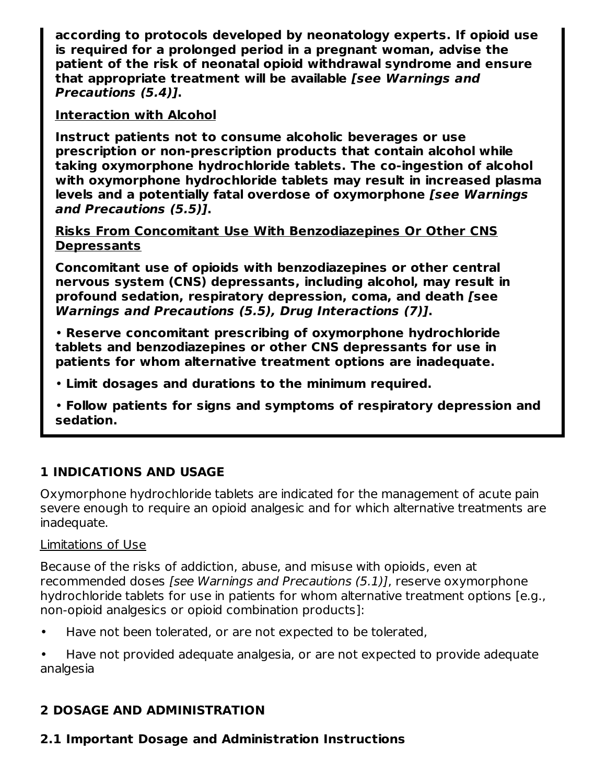**according to protocols developed by neonatology experts. If opioid use is required for a prolonged period in a pregnant woman, advise the patient of the risk of neonatal opioid withdrawal syndrome and ensure that appropriate treatment will be available [see Warnings and Precautions (5.4)].**

#### **Interaction with Alcohol**

**Instruct patients not to consume alcoholic beverages or use prescription or non-prescription products that contain alcohol while taking oxymorphone hydrochloride tablets. The co-ingestion of alcohol with oxymorphone hydrochloride tablets may result in increased plasma levels and a potentially fatal overdose of oxymorphone [see Warnings and Precautions (5.5)].**

#### **Risks From Concomitant Use With Benzodiazepines Or Other CNS Depressants**

**Concomitant use of opioids with benzodiazepines or other central nervous system (CNS) depressants, including alcohol, may result in profound sedation, respiratory depression, coma, and death [see Warnings and Precautions (5.5), Drug Interactions (7)].**

• **Reserve concomitant prescribing of oxymorphone hydrochloride tablets and benzodiazepines or other CNS depressants for use in patients for whom alternative treatment options are inadequate.**

- **Limit dosages and durations to the minimum required.**
- **Follow patients for signs and symptoms of respiratory depression and sedation.**

## **1 INDICATIONS AND USAGE**

Oxymorphone hydrochloride tablets are indicated for the management of acute pain severe enough to require an opioid analgesic and for which alternative treatments are inadequate.

#### Limitations of Use

Because of the risks of addiction, abuse, and misuse with opioids, even at recommended doses [see Warnings and Precautions (5.1)], reserve oxymorphone hydrochloride tablets for use in patients for whom alternative treatment options [e.g., non-opioid analgesics or opioid combination products]:

- Have not been tolerated, or are not expected to be tolerated,
- Have not provided adequate analgesia, or are not expected to provide adequate analgesia

### **2 DOSAGE AND ADMINISTRATION**

## **2.1 Important Dosage and Administration Instructions**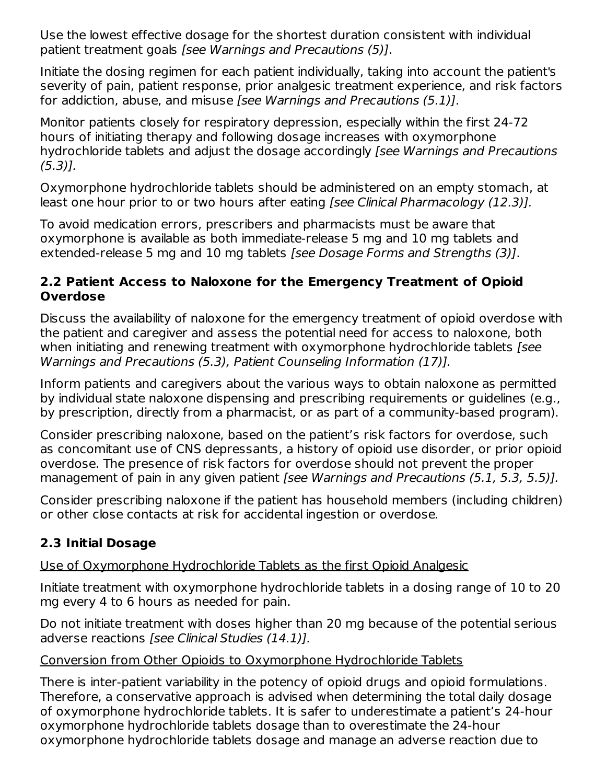Use the lowest effective dosage for the shortest duration consistent with individual patient treatment goals [see Warnings and Precautions (5)].

Initiate the dosing regimen for each patient individually, taking into account the patient's severity of pain, patient response, prior analgesic treatment experience, and risk factors for addiction, abuse, and misuse [see Warnings and Precautions (5.1)].

Monitor patients closely for respiratory depression, especially within the first 24-72 hours of initiating therapy and following dosage increases with oxymorphone hydrochloride tablets and adjust the dosage accordingly [see Warnings and Precautions  $(5.3)$ ].

Oxymorphone hydrochloride tablets should be administered on an empty stomach, at least one hour prior to or two hours after eating [see Clinical Pharmacology (12.3)].

To avoid medication errors, prescribers and pharmacists must be aware that oxymorphone is available as both immediate-release 5 mg and 10 mg tablets and extended-release 5 mg and 10 mg tablets [see Dosage Forms and Strengths (3)].

#### **2.2 Patient Access to Naloxone for the Emergency Treatment of Opioid Overdose**

Discuss the availability of naloxone for the emergency treatment of opioid overdose with the patient and caregiver and assess the potential need for access to naloxone, both when initiating and renewing treatment with oxymorphone hydrochloride tablets [see Warnings and Precautions (5.3), Patient Counseling Information (17)].

Inform patients and caregivers about the various ways to obtain naloxone as permitted by individual state naloxone dispensing and prescribing requirements or guidelines (e.g., by prescription, directly from a pharmacist, or as part of a community-based program).

Consider prescribing naloxone, based on the patient's risk factors for overdose, such as concomitant use of CNS depressants, a history of opioid use disorder, or prior opioid overdose. The presence of risk factors for overdose should not prevent the proper management of pain in any given patient [see Warnings and Precautions (5.1, 5.3, 5.5)].

Consider prescribing naloxone if the patient has household members (including children) or other close contacts at risk for accidental ingestion or overdose.

## **2.3 Initial Dosage**

Use of Oxymorphone Hydrochloride Tablets as the first Opioid Analgesic

Initiate treatment with oxymorphone hydrochloride tablets in a dosing range of 10 to 20 mg every 4 to 6 hours as needed for pain.

Do not initiate treatment with doses higher than 20 mg because of the potential serious adverse reactions [see Clinical Studies (14.1)].

## Conversion from Other Opioids to Oxymorphone Hydrochloride Tablets

There is inter-patient variability in the potency of opioid drugs and opioid formulations. Therefore, a conservative approach is advised when determining the total daily dosage of oxymorphone hydrochloride tablets. It is safer to underestimate a patient's 24-hour oxymorphone hydrochloride tablets dosage than to overestimate the 24-hour oxymorphone hydrochloride tablets dosage and manage an adverse reaction due to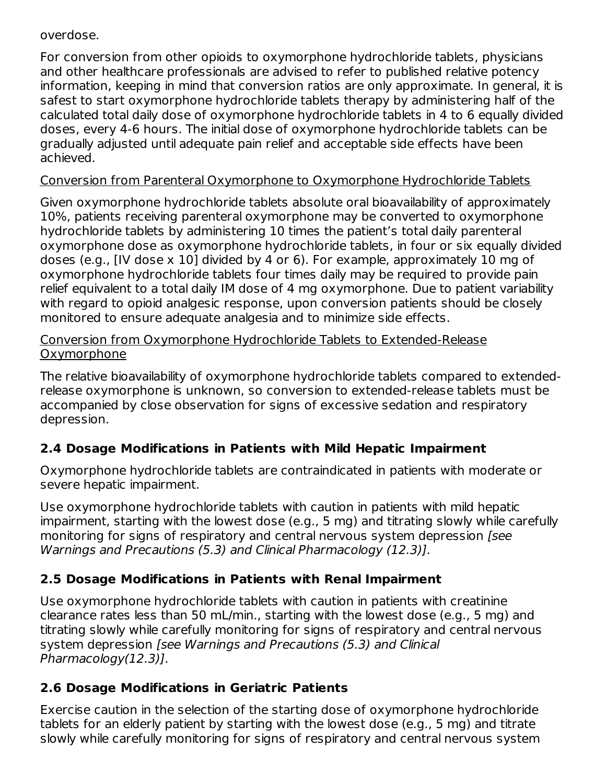#### overdose.

For conversion from other opioids to oxymorphone hydrochloride tablets, physicians and other healthcare professionals are advised to refer to published relative potency information, keeping in mind that conversion ratios are only approximate. In general, it is safest to start oxymorphone hydrochloride tablets therapy by administering half of the calculated total daily dose of oxymorphone hydrochloride tablets in 4 to 6 equally divided doses, every 4-6 hours. The initial dose of oxymorphone hydrochloride tablets can be gradually adjusted until adequate pain relief and acceptable side effects have been achieved.

#### Conversion from Parenteral Oxymorphone to Oxymorphone Hydrochloride Tablets

Given oxymorphone hydrochloride tablets absolute oral bioavailability of approximately 10%, patients receiving parenteral oxymorphone may be converted to oxymorphone hydrochloride tablets by administering 10 times the patient's total daily parenteral oxymorphone dose as oxymorphone hydrochloride tablets, in four or six equally divided doses (e.g., [IV dose x 10] divided by 4 or 6). For example, approximately 10 mg of oxymorphone hydrochloride tablets four times daily may be required to provide pain relief equivalent to a total daily IM dose of 4 mg oxymorphone. Due to patient variability with regard to opioid analgesic response, upon conversion patients should be closely monitored to ensure adequate analgesia and to minimize side effects.

#### Conversion from Oxymorphone Hydrochloride Tablets to Extended-Release **Oxymorphone**

The relative bioavailability of oxymorphone hydrochloride tablets compared to extendedrelease oxymorphone is unknown, so conversion to extended-release tablets must be accompanied by close observation for signs of excessive sedation and respiratory depression.

### **2.4 Dosage Modifications in Patients with Mild Hepatic Impairment**

Oxymorphone hydrochloride tablets are contraindicated in patients with moderate or severe hepatic impairment.

Use oxymorphone hydrochloride tablets with caution in patients with mild hepatic impairment, starting with the lowest dose (e.g., 5 mg) and titrating slowly while carefully monitoring for signs of respiratory and central nervous system depression [see Warnings and Precautions (5.3) and Clinical Pharmacology (12.3)].

### **2.5 Dosage Modifications in Patients with Renal Impairment**

Use oxymorphone hydrochloride tablets with caution in patients with creatinine clearance rates less than 50 mL/min., starting with the lowest dose (e.g., 5 mg) and titrating slowly while carefully monitoring for signs of respiratory and central nervous system depression *[see Warnings and Precautions (5.3) and Clinical* Pharmacology(12.3)].

### **2.6 Dosage Modifications in Geriatric Patients**

Exercise caution in the selection of the starting dose of oxymorphone hydrochloride tablets for an elderly patient by starting with the lowest dose (e.g., 5 mg) and titrate slowly while carefully monitoring for signs of respiratory and central nervous system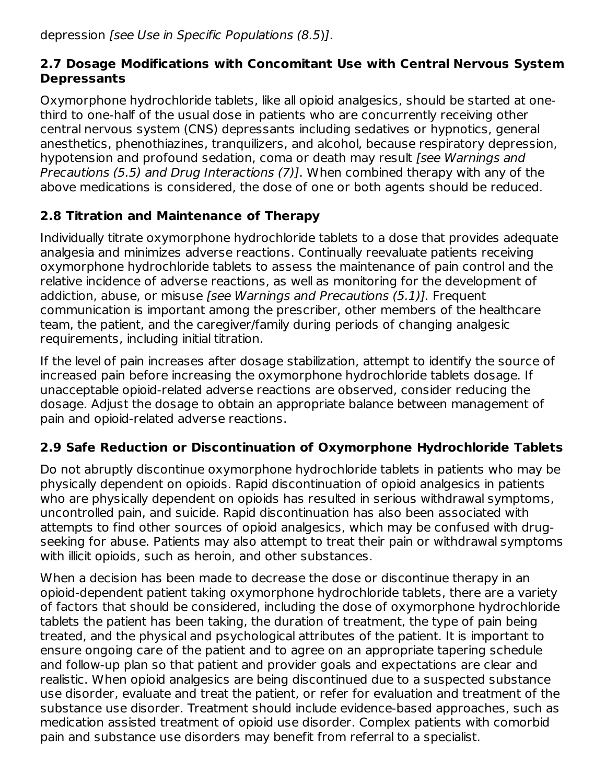### **2.7 Dosage Modifications with Concomitant Use with Central Nervous System Depressants**

Oxymorphone hydrochloride tablets, like all opioid analgesics, should be started at onethird to one-half of the usual dose in patients who are concurrently receiving other central nervous system (CNS) depressants including sedatives or hypnotics, general anesthetics, phenothiazines, tranquilizers, and alcohol, because respiratory depression, hypotension and profound sedation, coma or death may result (see Warnings and Precautions (5.5) and Drug Interactions (7)]. When combined therapy with any of the above medications is considered, the dose of one or both agents should be reduced.

## **2.8 Titration and Maintenance of Therapy**

Individually titrate oxymorphone hydrochloride tablets to a dose that provides adequate analgesia and minimizes adverse reactions. Continually reevaluate patients receiving oxymorphone hydrochloride tablets to assess the maintenance of pain control and the relative incidence of adverse reactions, as well as monitoring for the development of addiction, abuse, or misuse [see Warnings and Precautions (5.1)]. Frequent communication is important among the prescriber, other members of the healthcare team, the patient, and the caregiver/family during periods of changing analgesic requirements, including initial titration.

If the level of pain increases after dosage stabilization, attempt to identify the source of increased pain before increasing the oxymorphone hydrochloride tablets dosage. If unacceptable opioid-related adverse reactions are observed, consider reducing the dosage. Adjust the dosage to obtain an appropriate balance between management of pain and opioid-related adverse reactions.

## **2.9 Safe Reduction or Discontinuation of Oxymorphone Hydrochloride Tablets**

Do not abruptly discontinue oxymorphone hydrochloride tablets in patients who may be physically dependent on opioids. Rapid discontinuation of opioid analgesics in patients who are physically dependent on opioids has resulted in serious withdrawal symptoms, uncontrolled pain, and suicide. Rapid discontinuation has also been associated with attempts to find other sources of opioid analgesics, which may be confused with drugseeking for abuse. Patients may also attempt to treat their pain or withdrawal symptoms with illicit opioids, such as heroin, and other substances.

When a decision has been made to decrease the dose or discontinue therapy in an opioid-dependent patient taking oxymorphone hydrochloride tablets, there are a variety of factors that should be considered, including the dose of oxymorphone hydrochloride tablets the patient has been taking, the duration of treatment, the type of pain being treated, and the physical and psychological attributes of the patient. It is important to ensure ongoing care of the patient and to agree on an appropriate tapering schedule and follow-up plan so that patient and provider goals and expectations are clear and realistic. When opioid analgesics are being discontinued due to a suspected substance use disorder, evaluate and treat the patient, or refer for evaluation and treatment of the substance use disorder. Treatment should include evidence-based approaches, such as medication assisted treatment of opioid use disorder. Complex patients with comorbid pain and substance use disorders may benefit from referral to a specialist.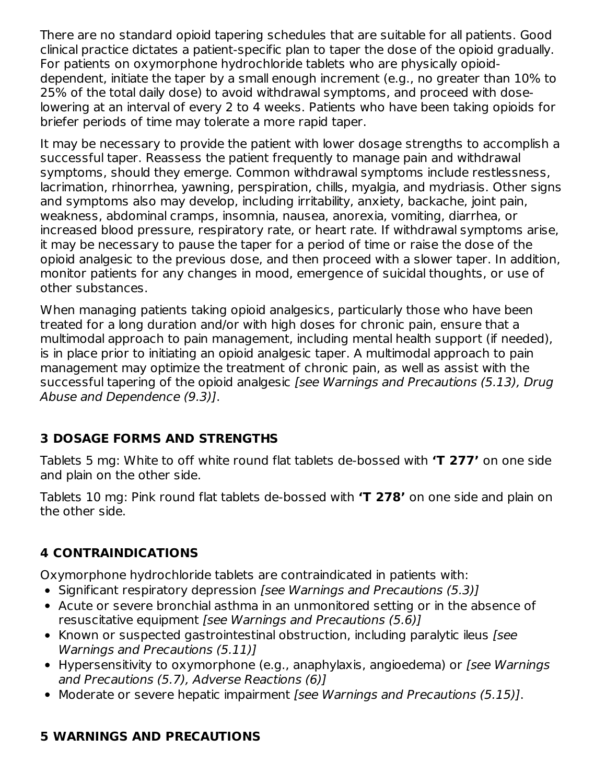There are no standard opioid tapering schedules that are suitable for all patients. Good clinical practice dictates a patient-specific plan to taper the dose of the opioid gradually. For patients on oxymorphone hydrochloride tablets who are physically opioiddependent, initiate the taper by a small enough increment (e.g., no greater than 10% to 25% of the total daily dose) to avoid withdrawal symptoms, and proceed with doselowering at an interval of every 2 to 4 weeks. Patients who have been taking opioids for briefer periods of time may tolerate a more rapid taper.

It may be necessary to provide the patient with lower dosage strengths to accomplish a successful taper. Reassess the patient frequently to manage pain and withdrawal symptoms, should they emerge. Common withdrawal symptoms include restlessness, lacrimation, rhinorrhea, yawning, perspiration, chills, myalgia, and mydriasis. Other signs and symptoms also may develop, including irritability, anxiety, backache, joint pain, weakness, abdominal cramps, insomnia, nausea, anorexia, vomiting, diarrhea, or increased blood pressure, respiratory rate, or heart rate. If withdrawal symptoms arise, it may be necessary to pause the taper for a period of time or raise the dose of the opioid analgesic to the previous dose, and then proceed with a slower taper. In addition, monitor patients for any changes in mood, emergence of suicidal thoughts, or use of other substances.

When managing patients taking opioid analgesics, particularly those who have been treated for a long duration and/or with high doses for chronic pain, ensure that a multimodal approach to pain management, including mental health support (if needed), is in place prior to initiating an opioid analgesic taper. A multimodal approach to pain management may optimize the treatment of chronic pain, as well as assist with the successful tapering of the opioid analgesic [see Warnings and Precautions (5.13), Drug Abuse and Dependence (9.3)].

## **3 DOSAGE FORMS AND STRENGTHS**

Tablets 5 mg: White to off white round flat tablets de-bossed with **'T 277'** on one side and plain on the other side.

Tablets 10 mg: Pink round flat tablets de-bossed with **'T 278'** on one side and plain on the other side.

## **4 CONTRAINDICATIONS**

Oxymorphone hydrochloride tablets are contraindicated in patients with:

- Significant respiratory depression [see Warnings and Precautions (5.3)]
- Acute or severe bronchial asthma in an unmonitored setting or in the absence of resuscitative equipment [see Warnings and Precautions (5.6)]
- Known or suspected gastrointestinal obstruction, including paralytic ileus [see Warnings and Precautions (5.11)]
- Hypersensitivity to oxymorphone (e.g., anaphylaxis, angioedema) or *[see Warnings* and Precautions (5.7), Adverse Reactions (6)]
- Moderate or severe hepatic impairment [see Warnings and Precautions (5.15)].

## **5 WARNINGS AND PRECAUTIONS**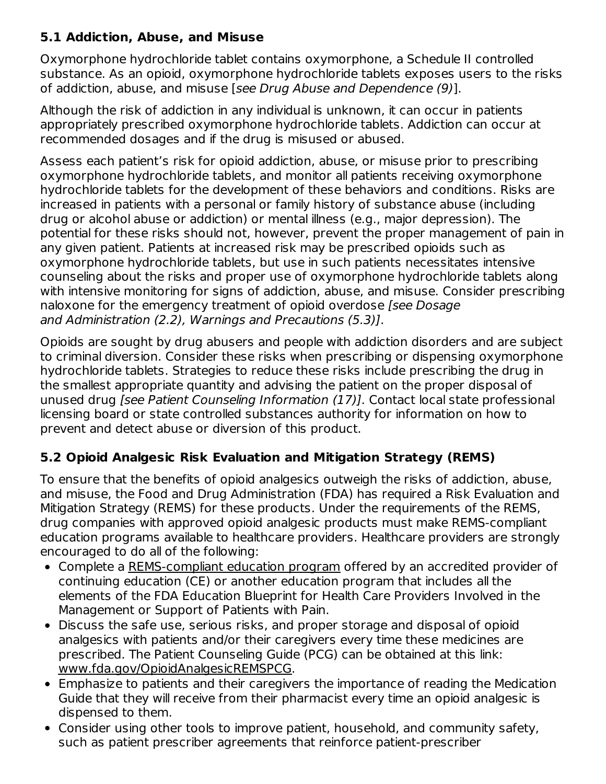## **5.1 Addiction, Abuse, and Misuse**

Oxymorphone hydrochloride tablet contains oxymorphone, a Schedule II controlled substance. As an opioid, oxymorphone hydrochloride tablets exposes users to the risks of addiction, abuse, and misuse [see Drug Abuse and Dependence (9)].

Although the risk of addiction in any individual is unknown, it can occur in patients appropriately prescribed oxymorphone hydrochloride tablets. Addiction can occur at recommended dosages and if the drug is misused or abused.

Assess each patient's risk for opioid addiction, abuse, or misuse prior to prescribing oxymorphone hydrochloride tablets, and monitor all patients receiving oxymorphone hydrochloride tablets for the development of these behaviors and conditions. Risks are increased in patients with a personal or family history of substance abuse (including drug or alcohol abuse or addiction) or mental illness (e.g., major depression). The potential for these risks should not, however, prevent the proper management of pain in any given patient. Patients at increased risk may be prescribed opioids such as oxymorphone hydrochloride tablets, but use in such patients necessitates intensive counseling about the risks and proper use of oxymorphone hydrochloride tablets along with intensive monitoring for signs of addiction, abuse, and misuse. Consider prescribing naloxone for the emergency treatment of opioid overdose [see Dosage] and Administration (2.2), Warnings and Precautions (5.3)].

Opioids are sought by drug abusers and people with addiction disorders and are subject to criminal diversion. Consider these risks when prescribing or dispensing oxymorphone hydrochloride tablets. Strategies to reduce these risks include prescribing the drug in the smallest appropriate quantity and advising the patient on the proper disposal of unused drug [see Patient Counseling Information (17)]. Contact local state professional licensing board or state controlled substances authority for information on how to prevent and detect abuse or diversion of this product.

## **5.2 Opioid Analgesic Risk Evaluation and Mitigation Strategy (REMS)**

To ensure that the benefits of opioid analgesics outweigh the risks of addiction, abuse, and misuse, the Food and Drug Administration (FDA) has required a Risk Evaluation and Mitigation Strategy (REMS) for these products. Under the requirements of the REMS, drug companies with approved opioid analgesic products must make REMS-compliant education programs available to healthcare providers. Healthcare providers are strongly encouraged to do all of the following:

- Complete a REMS-compliant education program offered by an accredited provider of continuing education (CE) or another education program that includes all the elements of the FDA Education Blueprint for Health Care Providers Involved in the Management or Support of Patients with Pain.
- Discuss the safe use, serious risks, and proper storage and disposal of opioid analgesics with patients and/or their caregivers every time these medicines are prescribed. The Patient Counseling Guide (PCG) can be obtained at this link: www.fda.gov/OpioidAnalgesicREMSPCG.
- Emphasize to patients and their caregivers the importance of reading the Medication Guide that they will receive from their pharmacist every time an opioid analgesic is dispensed to them.
- Consider using other tools to improve patient, household, and community safety, such as patient prescriber agreements that reinforce patient-prescriber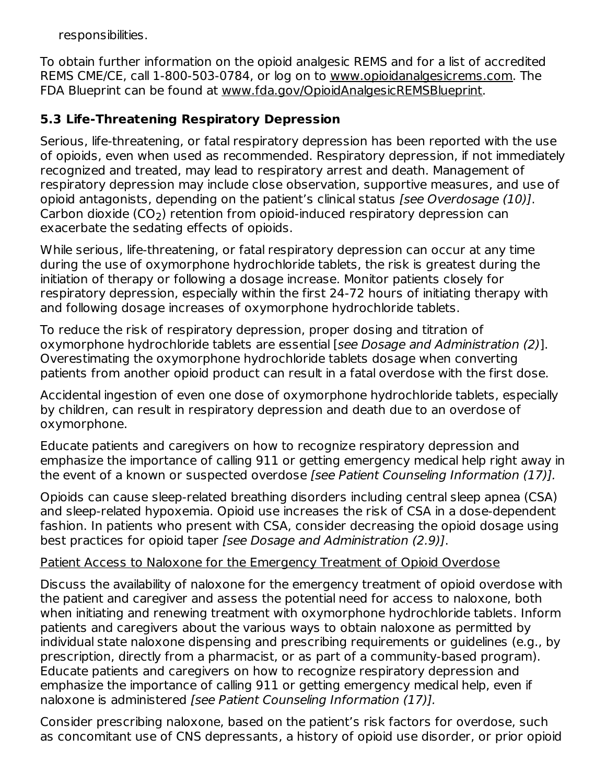responsibilities.

To obtain further information on the opioid analgesic REMS and for a list of accredited REMS CME/CE, call 1-800-503-0784, or log on to www.opioidanalgesicrems.com. The FDA Blueprint can be found at www.fda.gov/OpioidAnalgesicREMSBlueprint.

#### **5.3 Life-Threatening Respiratory Depression**

Serious, life-threatening, or fatal respiratory depression has been reported with the use of opioids, even when used as recommended. Respiratory depression, if not immediately recognized and treated, may lead to respiratory arrest and death. Management of respiratory depression may include close observation, supportive measures, and use of opioid antagonists, depending on the patient's clinical status [see Overdosage (10)]. Carbon dioxide (CO<sub>2</sub>) retention from opioid-induced respiratory depression can exacerbate the sedating effects of opioids.

While serious, life-threatening, or fatal respiratory depression can occur at any time during the use of oxymorphone hydrochloride tablets, the risk is greatest during the initiation of therapy or following a dosage increase. Monitor patients closely for respiratory depression, especially within the first 24-72 hours of initiating therapy with and following dosage increases of oxymorphone hydrochloride tablets.

To reduce the risk of respiratory depression, proper dosing and titration of oxymorphone hydrochloride tablets are essential [see Dosage and Administration (2)]. Overestimating the oxymorphone hydrochloride tablets dosage when converting patients from another opioid product can result in a fatal overdose with the first dose.

Accidental ingestion of even one dose of oxymorphone hydrochloride tablets, especially by children, can result in respiratory depression and death due to an overdose of oxymorphone.

Educate patients and caregivers on how to recognize respiratory depression and emphasize the importance of calling 911 or getting emergency medical help right away in the event of a known or suspected overdose [see Patient Counseling Information (17)].

Opioids can cause sleep-related breathing disorders including central sleep apnea (CSA) and sleep-related hypoxemia. Opioid use increases the risk of CSA in a dose-dependent fashion. In patients who present with CSA, consider decreasing the opioid dosage using best practices for opioid taper [see Dosage and Administration (2.9)].

#### Patient Access to Naloxone for the Emergency Treatment of Opioid Overdose

Discuss the availability of naloxone for the emergency treatment of opioid overdose with the patient and caregiver and assess the potential need for access to naloxone, both when initiating and renewing treatment with oxymorphone hydrochloride tablets. Inform patients and caregivers about the various ways to obtain naloxone as permitted by individual state naloxone dispensing and prescribing requirements or guidelines (e.g., by prescription, directly from a pharmacist, or as part of a community-based program). Educate patients and caregivers on how to recognize respiratory depression and emphasize the importance of calling 911 or getting emergency medical help, even if naloxone is administered [see Patient Counseling Information (17)].

Consider prescribing naloxone, based on the patient's risk factors for overdose, such as concomitant use of CNS depressants, a history of opioid use disorder, or prior opioid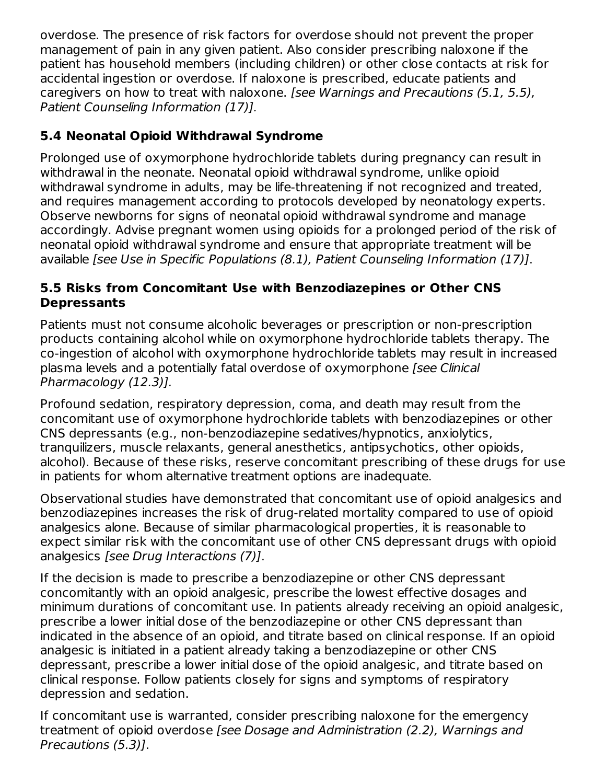overdose. The presence of risk factors for overdose should not prevent the proper management of pain in any given patient. Also consider prescribing naloxone if the patient has household members (including children) or other close contacts at risk for accidental ingestion or overdose. If naloxone is prescribed, educate patients and caregivers on how to treat with naloxone. [see Warnings and Precautions (5.1, 5.5), Patient Counseling Information (17)].

## **5.4 Neonatal Opioid Withdrawal Syndrome**

Prolonged use of oxymorphone hydrochloride tablets during pregnancy can result in withdrawal in the neonate. Neonatal opioid withdrawal syndrome, unlike opioid withdrawal syndrome in adults, may be life-threatening if not recognized and treated, and requires management according to protocols developed by neonatology experts. Observe newborns for signs of neonatal opioid withdrawal syndrome and manage accordingly. Advise pregnant women using opioids for a prolonged period of the risk of neonatal opioid withdrawal syndrome and ensure that appropriate treatment will be available [see Use in Specific Populations (8.1), Patient Counseling Information (17)].

#### **5.5 Risks from Concomitant Use with Benzodiazepines or Other CNS Depressants**

Patients must not consume alcoholic beverages or prescription or non-prescription products containing alcohol while on oxymorphone hydrochloride tablets therapy. The co-ingestion of alcohol with oxymorphone hydrochloride tablets may result in increased plasma levels and a potentially fatal overdose of oxymorphone [see Clinical Pharmacology (12.3)].

Profound sedation, respiratory depression, coma, and death may result from the concomitant use of oxymorphone hydrochloride tablets with benzodiazepines or other CNS depressants (e.g., non-benzodiazepine sedatives/hypnotics, anxiolytics, tranquilizers, muscle relaxants, general anesthetics, antipsychotics, other opioids, alcohol). Because of these risks, reserve concomitant prescribing of these drugs for use in patients for whom alternative treatment options are inadequate.

Observational studies have demonstrated that concomitant use of opioid analgesics and benzodiazepines increases the risk of drug-related mortality compared to use of opioid analgesics alone. Because of similar pharmacological properties, it is reasonable to expect similar risk with the concomitant use of other CNS depressant drugs with opioid analgesics [see Drug Interactions (7)].

If the decision is made to prescribe a benzodiazepine or other CNS depressant concomitantly with an opioid analgesic, prescribe the lowest effective dosages and minimum durations of concomitant use. In patients already receiving an opioid analgesic, prescribe a lower initial dose of the benzodiazepine or other CNS depressant than indicated in the absence of an opioid, and titrate based on clinical response. If an opioid analgesic is initiated in a patient already taking a benzodiazepine or other CNS depressant, prescribe a lower initial dose of the opioid analgesic, and titrate based on clinical response. Follow patients closely for signs and symptoms of respiratory depression and sedation.

If concomitant use is warranted, consider prescribing naloxone for the emergency treatment of opioid overdose [see Dosage and Administration (2.2), Warnings and Precautions (5.3)].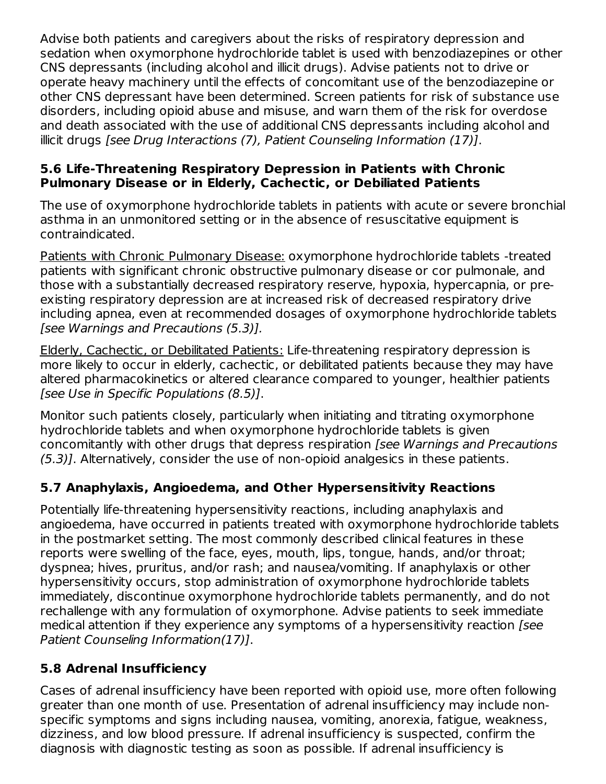Advise both patients and caregivers about the risks of respiratory depression and sedation when oxymorphone hydrochloride tablet is used with benzodiazepines or other CNS depressants (including alcohol and illicit drugs). Advise patients not to drive or operate heavy machinery until the effects of concomitant use of the benzodiazepine or other CNS depressant have been determined. Screen patients for risk of substance use disorders, including opioid abuse and misuse, and warn them of the risk for overdose and death associated with the use of additional CNS depressants including alcohol and illicit drugs [see Drug Interactions (7), Patient Counseling Information (17)].

#### **5.6 Life-Threatening Respiratory Depression in Patients with Chronic Pulmonary Disease or in Elderly, Cachectic, or Debiliated Patients**

The use of oxymorphone hydrochloride tablets in patients with acute or severe bronchial asthma in an unmonitored setting or in the absence of resuscitative equipment is contraindicated.

Patients with Chronic Pulmonary Disease: oxymorphone hydrochloride tablets -treated patients with significant chronic obstructive pulmonary disease or cor pulmonale, and those with a substantially decreased respiratory reserve, hypoxia, hypercapnia, or preexisting respiratory depression are at increased risk of decreased respiratory drive including apnea, even at recommended dosages of oxymorphone hydrochloride tablets [see Warnings and Precautions (5.3)].

Elderly, Cachectic, or Debilitated Patients: Life-threatening respiratory depression is more likely to occur in elderly, cachectic, or debilitated patients because they may have altered pharmacokinetics or altered clearance compared to younger, healthier patients [see Use in Specific Populations (8.5)].

Monitor such patients closely, particularly when initiating and titrating oxymorphone hydrochloride tablets and when oxymorphone hydrochloride tablets is given concomitantly with other drugs that depress respiration [see Warnings and Precautions (5.3)]. Alternatively, consider the use of non-opioid analgesics in these patients.

## **5.7 Anaphylaxis, Angioedema, and Other Hypersensitivity Reactions**

Potentially life-threatening hypersensitivity reactions, including anaphylaxis and angioedema, have occurred in patients treated with oxymorphone hydrochloride tablets in the postmarket setting. The most commonly described clinical features in these reports were swelling of the face, eyes, mouth, lips, tongue, hands, and/or throat; dyspnea; hives, pruritus, and/or rash; and nausea/vomiting. If anaphylaxis or other hypersensitivity occurs, stop administration of oxymorphone hydrochloride tablets immediately, discontinue oxymorphone hydrochloride tablets permanently, and do not rechallenge with any formulation of oxymorphone. Advise patients to seek immediate medical attention if they experience any symptoms of a hypersensitivity reaction [see Patient Counseling Information(17)].

### **5.8 Adrenal Insufficiency**

Cases of adrenal insufficiency have been reported with opioid use, more often following greater than one month of use. Presentation of adrenal insufficiency may include nonspecific symptoms and signs including nausea, vomiting, anorexia, fatigue, weakness, dizziness, and low blood pressure. If adrenal insufficiency is suspected, confirm the diagnosis with diagnostic testing as soon as possible. If adrenal insufficiency is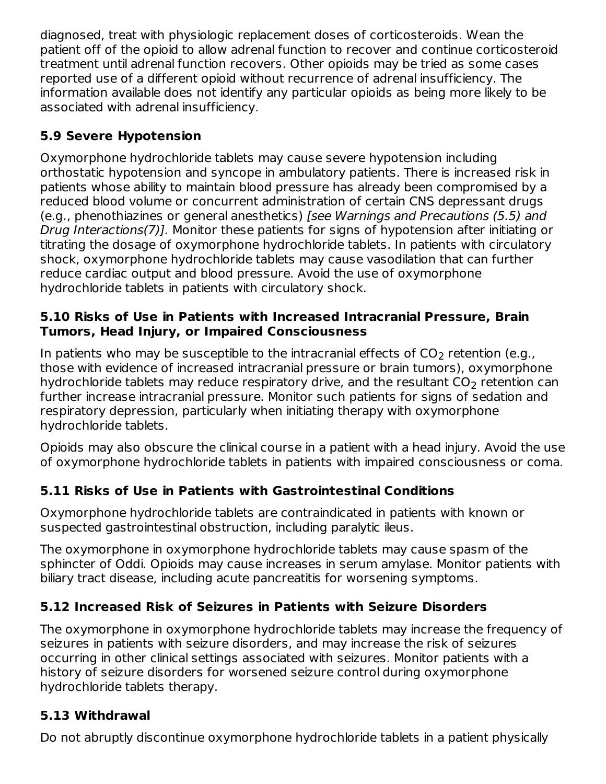diagnosed, treat with physiologic replacement doses of corticosteroids. Wean the patient off of the opioid to allow adrenal function to recover and continue corticosteroid treatment until adrenal function recovers. Other opioids may be tried as some cases reported use of a different opioid without recurrence of adrenal insufficiency. The information available does not identify any particular opioids as being more likely to be associated with adrenal insufficiency.

## **5.9 Severe Hypotension**

Oxymorphone hydrochloride tablets may cause severe hypotension including orthostatic hypotension and syncope in ambulatory patients. There is increased risk in patients whose ability to maintain blood pressure has already been compromised by a reduced blood volume or concurrent administration of certain CNS depressant drugs (e.g., phenothiazines or general anesthetics) [see Warnings and Precautions (5.5) and Drug Interactions(7)]. Monitor these patients for signs of hypotension after initiating or titrating the dosage of oxymorphone hydrochloride tablets. In patients with circulatory shock, oxymorphone hydrochloride tablets may cause vasodilation that can further reduce cardiac output and blood pressure. Avoid the use of oxymorphone hydrochloride tablets in patients with circulatory shock.

#### **5.10 Risks of Use in Patients with Increased Intracranial Pressure, Brain Tumors, Head Injury, or Impaired Consciousness**

In patients who may be susceptible to the intracranial effects of CO<sub>2</sub> retention (e.g., those with evidence of increased intracranial pressure or brain tumors), oxymorphone hydrochloride tablets may reduce respiratory drive, and the resultant CO $_2$  retention can further increase intracranial pressure. Monitor such patients for signs of sedation and respiratory depression, particularly when initiating therapy with oxymorphone hydrochloride tablets.

Opioids may also obscure the clinical course in a patient with a head injury. Avoid the use of oxymorphone hydrochloride tablets in patients with impaired consciousness or coma.

## **5.11 Risks of Use in Patients with Gastrointestinal Conditions**

Oxymorphone hydrochloride tablets are contraindicated in patients with known or suspected gastrointestinal obstruction, including paralytic ileus.

The oxymorphone in oxymorphone hydrochloride tablets may cause spasm of the sphincter of Oddi. Opioids may cause increases in serum amylase. Monitor patients with biliary tract disease, including acute pancreatitis for worsening symptoms.

## **5.12 Increased Risk of Seizures in Patients with Seizure Disorders**

The oxymorphone in oxymorphone hydrochloride tablets may increase the frequency of seizures in patients with seizure disorders, and may increase the risk of seizures occurring in other clinical settings associated with seizures. Monitor patients with a history of seizure disorders for worsened seizure control during oxymorphone hydrochloride tablets therapy.

## **5.13 Withdrawal**

Do not abruptly discontinue oxymorphone hydrochloride tablets in a patient physically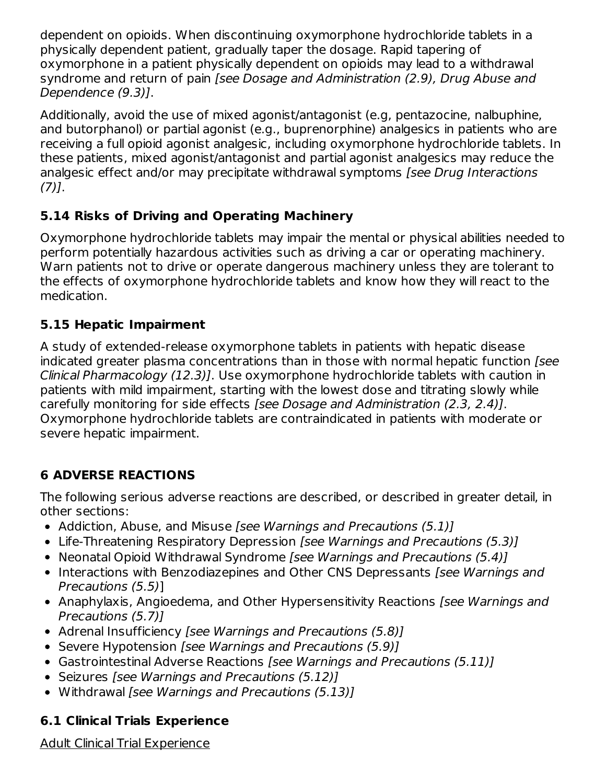dependent on opioids. When discontinuing oxymorphone hydrochloride tablets in a physically dependent patient, gradually taper the dosage. Rapid tapering of oxymorphone in a patient physically dependent on opioids may lead to a withdrawal syndrome and return of pain *[see Dosage and Administration (2.9), Drug Abuse and* Dependence (9.3)].

Additionally, avoid the use of mixed agonist/antagonist (e.g, pentazocine, nalbuphine, and butorphanol) or partial agonist (e.g., buprenorphine) analgesics in patients who are receiving a full opioid agonist analgesic, including oxymorphone hydrochloride tablets. In these patients, mixed agonist/antagonist and partial agonist analgesics may reduce the analgesic effect and/or may precipitate withdrawal symptoms [see Drug Interactions  $(7)$ ].

## **5.14 Risks of Driving and Operating Machinery**

Oxymorphone hydrochloride tablets may impair the mental or physical abilities needed to perform potentially hazardous activities such as driving a car or operating machinery. Warn patients not to drive or operate dangerous machinery unless they are tolerant to the effects of oxymorphone hydrochloride tablets and know how they will react to the medication.

## **5.15 Hepatic Impairment**

A study of extended-release oxymorphone tablets in patients with hepatic disease indicated greater plasma concentrations than in those with normal hepatic function [see Clinical Pharmacology (12.3)]. Use oxymorphone hydrochloride tablets with caution in patients with mild impairment, starting with the lowest dose and titrating slowly while carefully monitoring for side effects [see Dosage and Administration (2.3, 2.4)]. Oxymorphone hydrochloride tablets are contraindicated in patients with moderate or severe hepatic impairment.

## **6 ADVERSE REACTIONS**

The following serious adverse reactions are described, or described in greater detail, in other sections:

- Addiction, Abuse, and Misuse [see Warnings and Precautions (5.1)]
- Life-Threatening Respiratory Depression [see Warnings and Precautions (5.3)]
- Neonatal Opioid Withdrawal Syndrome [see Warnings and Precautions (5.4)]
- Interactions with Benzodiazepines and Other CNS Depressants [see Warnings and Precautions (5.5)]
- Anaphylaxis, Angioedema, and Other Hypersensitivity Reactions [see Warnings and Precautions (5.7)]
- Adrenal Insufficiency [see Warnings and Precautions (5.8)]
- Severe Hypotension [see Warnings and Precautions (5.9)]
- Gastrointestinal Adverse Reactions [see Warnings and Precautions (5.11)]
- Seizures [see Warnings and Precautions (5.12)]
- Withdrawal [see Warnings and Precautions (5.13)]

# **6.1 Clinical Trials Experience**

Adult Clinical Trial Experience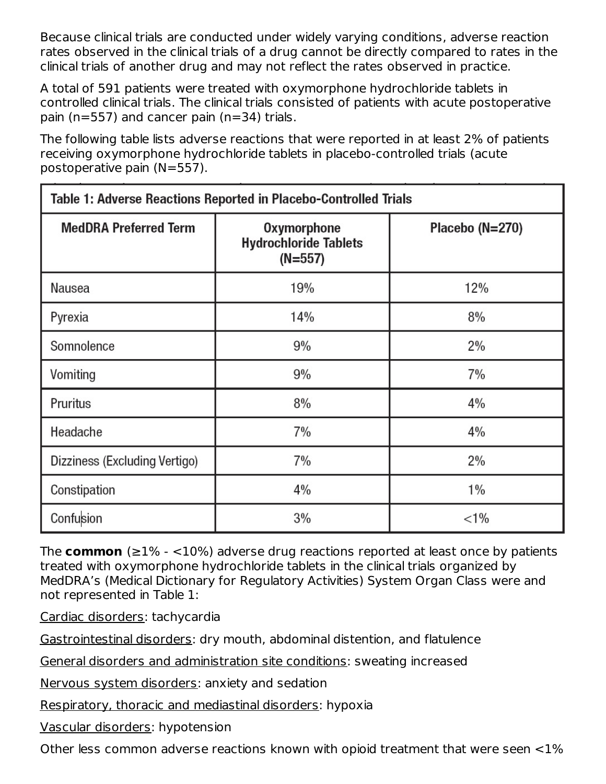Because clinical trials are conducted under widely varying conditions, adverse reaction rates observed in the clinical trials of a drug cannot be directly compared to rates in the clinical trials of another drug and may not reflect the rates observed in practice.

A total of 591 patients were treated with oxymorphone hydrochloride tablets in controlled clinical trials. The clinical trials consisted of patients with acute postoperative pain (n=557) and cancer pain (n=34) trials.

The following table lists adverse reactions that were reported in at least 2% of patients receiving oxymorphone hydrochloride tablets in placebo-controlled trials (acute postoperative pain (N=557).

| Table 1: Adverse Reactions Reported in Placebo-Controlled Trials |                                                          |                 |  |  |  |
|------------------------------------------------------------------|----------------------------------------------------------|-----------------|--|--|--|
| <b>MedDRA Preferred Term</b>                                     | Oxymorphone<br><b>Hydrochloride Tablets</b><br>$(N=557)$ | Placebo (N=270) |  |  |  |
| Nausea                                                           | 19%                                                      | 12%             |  |  |  |
| Pyrexia                                                          | 14%                                                      | 8%              |  |  |  |
| Somnolence                                                       | 9%                                                       | 2%              |  |  |  |
| Vomiting                                                         | 9%                                                       | 7%              |  |  |  |
| Pruritus                                                         | 8%                                                       | 4%              |  |  |  |
| Headache                                                         | 7%                                                       | 4%              |  |  |  |
| Dizziness (Excluding Vertigo)                                    | 7%                                                       | 2%              |  |  |  |
| Constipation                                                     | 4%                                                       | $1\%$           |  |  |  |
| Confusion                                                        | 3%                                                       | $< 1\%$         |  |  |  |

The **common** (≥1% - <10%) adverse drug reactions reported at least once by patients treated with oxymorphone hydrochloride tablets in the clinical trials organized by MedDRA's (Medical Dictionary for Regulatory Activities) System Organ Class were and not represented in Table 1:

Cardiac disorders: tachycardia

Gastrointestinal disorders: dry mouth, abdominal distention, and flatulence

General disorders and administration site conditions: sweating increased

Nervous system disorders: anxiety and sedation

Respiratory, thoracic and mediastinal disorders: hypoxia

Vascular disorders: hypotension

Other less common adverse reactions known with opioid treatment that were seen <1%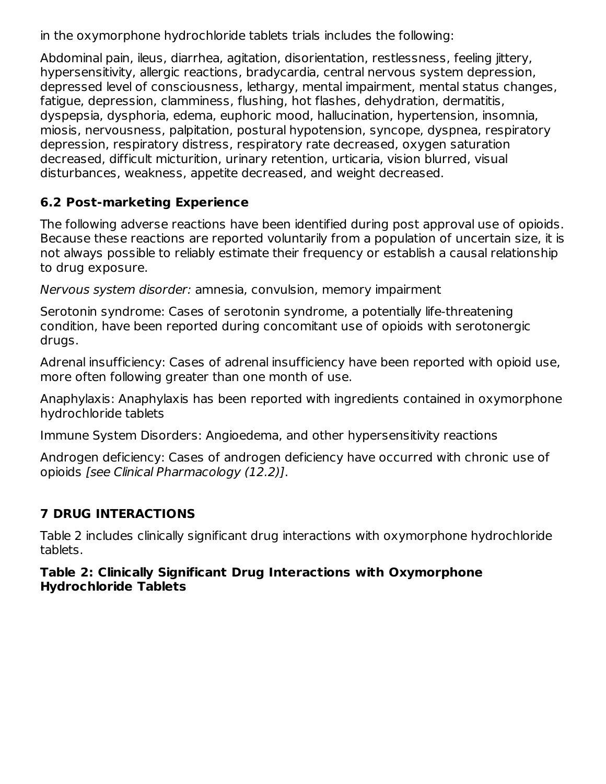in the oxymorphone hydrochloride tablets trials includes the following:

Abdominal pain, ileus, diarrhea, agitation, disorientation, restlessness, feeling jittery, hypersensitivity, allergic reactions, bradycardia, central nervous system depression, depressed level of consciousness, lethargy, mental impairment, mental status changes, fatigue, depression, clamminess, flushing, hot flashes, dehydration, dermatitis, dyspepsia, dysphoria, edema, euphoric mood, hallucination, hypertension, insomnia, miosis, nervousness, palpitation, postural hypotension, syncope, dyspnea, respiratory depression, respiratory distress, respiratory rate decreased, oxygen saturation decreased, difficult micturition, urinary retention, urticaria, vision blurred, visual disturbances, weakness, appetite decreased, and weight decreased.

### **6.2 Post-marketing Experience**

The following adverse reactions have been identified during post approval use of opioids. Because these reactions are reported voluntarily from a population of uncertain size, it is not always possible to reliably estimate their frequency or establish a causal relationship to drug exposure.

Nervous system disorder: amnesia, convulsion, memory impairment

Serotonin syndrome: Cases of serotonin syndrome, a potentially life-threatening condition, have been reported during concomitant use of opioids with serotonergic drugs.

Adrenal insufficiency: Cases of adrenal insufficiency have been reported with opioid use, more often following greater than one month of use.

Anaphylaxis: Anaphylaxis has been reported with ingredients contained in oxymorphone hydrochloride tablets

Immune System Disorders: Angioedema, and other hypersensitivity reactions

Androgen deficiency: Cases of androgen deficiency have occurred with chronic use of opioids [see Clinical Pharmacology (12.2)].

## **7 DRUG INTERACTIONS**

Table 2 includes clinically significant drug interactions with oxymorphone hydrochloride tablets.

#### **Table 2: Clinically Significant Drug Interactions with Oxymorphone Hydrochloride Tablets**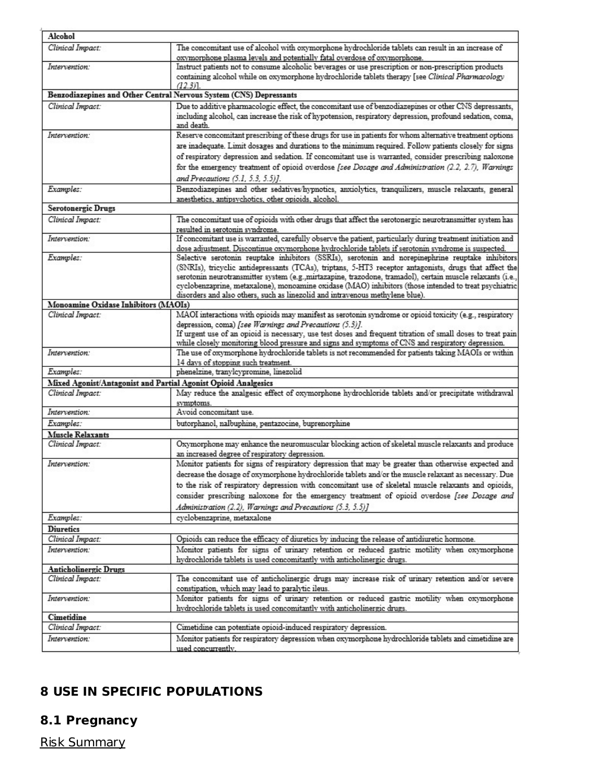| Alcohol                                          |                                                                                                                                                                                                                      |  |  |  |
|--------------------------------------------------|----------------------------------------------------------------------------------------------------------------------------------------------------------------------------------------------------------------------|--|--|--|
|                                                  | The concomitant use of alcohol with oxymorphone hydrochloride tablets can result in an increase of                                                                                                                   |  |  |  |
| Clinical Impact:                                 | oxymorphone plasma levels and potentially fatal overdose of oxymorphone.                                                                                                                                             |  |  |  |
| Intervention:                                    | Instruct patients not to consume alcoholic beverages or use prescription or non-prescription products<br>containing alcohol while on oxymorphone hydrochloride tablets therapy [see Clinical Pharmacology            |  |  |  |
|                                                  | $(12.3)$ ].                                                                                                                                                                                                          |  |  |  |
|                                                  | Benzodiazepines and Other Central Nervous System (CNS) Depressants                                                                                                                                                   |  |  |  |
| Clinical Impact:                                 | Due to additive pharmacologic effect, the concomitant use of benzodiazepines or other CNS depressants,<br>including alcohol, can increase the risk of hypotension, respiratory depression, profound sedation, coma,  |  |  |  |
| Intervention:                                    | and death.                                                                                                                                                                                                           |  |  |  |
|                                                  | Reserve concomitant prescribing of these drugs for use in patients for whom alternative treatment options<br>are inadequate. Limit dosages and durations to the minimum required. Follow patients closely for signs  |  |  |  |
|                                                  | of respiratory depression and sedation. If concomitant use is warranted, consider prescribing naloxone                                                                                                               |  |  |  |
|                                                  | for the emergency treatment of opioid overdose [see Dosage and Administration (2.2, 2.7), Warnings                                                                                                                   |  |  |  |
|                                                  | and Precautions (5.1, 5.3, 5.5)].                                                                                                                                                                                    |  |  |  |
| Examples:                                        | Benzodiazepines and other sedatives/hypnotics, anxiolytics, tranquilizers, muscle relaxants, general                                                                                                                 |  |  |  |
|                                                  | anesthetics, antipsychotics, other opioids, alcohol.                                                                                                                                                                 |  |  |  |
| <b>Serotonergic Drugs</b>                        |                                                                                                                                                                                                                      |  |  |  |
| Clinical Impact:                                 | The concomitant use of opioids with other drugs that affect the serotonergic neurotransmitter system has<br>resulted in serotonin syndrome.                                                                          |  |  |  |
| Intervention:                                    | If concomitant use is warranted, carefully observe the patient, particularly during treatment initiation and                                                                                                         |  |  |  |
|                                                  | dose adjustment. Discontinue oxymorphone hydrochloride tablets if serotonin syndrome is suspected.                                                                                                                   |  |  |  |
| Examples:                                        | Selective serotonin reuptake inhibitors (SSRIs), serotonin and norepinephrine reuptake inhibitors                                                                                                                    |  |  |  |
|                                                  | (SNRIs), tricyclic antidepressants (TCAs), triptans, 5-HT3 receptor antagonists, drugs that affect the<br>serotonin neurotransmitter system (e.g.,mirtazapine, trazodone, tramadol), certain muscle relaxants (i.e., |  |  |  |
|                                                  | cyclobenzaprine, metaxalone), monoamine oxidase (MAO) inhibitors (those intended to treat psychiatric                                                                                                                |  |  |  |
|                                                  | disorders and also others, such as linezolid and intravenous methylene blue).                                                                                                                                        |  |  |  |
| Monoamine Oxidase Inhibitors (MAOIs)             |                                                                                                                                                                                                                      |  |  |  |
| Clinical Impact:                                 | MAOI interactions with opioids may manifest as serotonin syndrome or opioid toxicity (e.g., respiratory                                                                                                              |  |  |  |
|                                                  | depression, coma) [see Warnings and Precautions (5.3)].                                                                                                                                                              |  |  |  |
|                                                  | If urgent use of an opioid is necessary, use test doses and frequent titration of small doses to treat pain<br>while closely monitoring blood pressure and signs and symptoms of CNS and respiratory depression.     |  |  |  |
| Intervention:                                    | The use of oxymorphone hydrochloride tablets is not recommended for patients taking MAOIs or within                                                                                                                  |  |  |  |
|                                                  | 14 days of stopping such treatment.                                                                                                                                                                                  |  |  |  |
| Examples:                                        | phenelzine, tranylcypromine, linezolid                                                                                                                                                                               |  |  |  |
|                                                  | Mixed Agonist/Antagonist and Partial Agonist Opioid Analgesics                                                                                                                                                       |  |  |  |
| Clinical Impact:                                 | May reduce the analgesic effect of oxymorphone hydrochloride tablets and/or precipitate withdrawal                                                                                                                   |  |  |  |
| Intervention:                                    | symptoms.<br>Avoid concomitant use.                                                                                                                                                                                  |  |  |  |
| Examples:                                        | butorphanol, nalbuphine, pentazocine, buprenorphine                                                                                                                                                                  |  |  |  |
| Muscle Relaxants                                 |                                                                                                                                                                                                                      |  |  |  |
| Clinical Impact:                                 | Oxymorphone may enhance the neuromuscular blocking action of skeletal muscle relaxants and produce                                                                                                                   |  |  |  |
|                                                  | an increased degree of respiratory depression.                                                                                                                                                                       |  |  |  |
| Intervention:                                    | Monitor patients for signs of respiratory depression that may be greater than otherwise expected and                                                                                                                 |  |  |  |
|                                                  | decrease the dosage of oxymorphone hydrochloride tablets and/or the muscle relaxant as necessary. Due                                                                                                                |  |  |  |
|                                                  | to the risk of respiratory depression with concomitant use of skeletal muscle relaxants and opioids,                                                                                                                 |  |  |  |
|                                                  | consider prescribing naloxone for the emergency treatment of opioid overdose [see Dosage and                                                                                                                         |  |  |  |
|                                                  | Administration (2.2), Warnings and Precautions (5.3, 5.5)]                                                                                                                                                           |  |  |  |
| Examples:                                        | cyclobenzaprine, metaxalone                                                                                                                                                                                          |  |  |  |
| <b>Diuretics</b>                                 |                                                                                                                                                                                                                      |  |  |  |
| Clinical Impact:                                 | Opioids can reduce the efficacy of diuretics by inducing the release of antidiuretic hormone.                                                                                                                        |  |  |  |
| Intervention:                                    | Monitor patients for signs of urinary retention or reduced gastric motility when oxymorphone                                                                                                                         |  |  |  |
|                                                  | hydrochloride tablets is used concomitantly with anticholinergic drugs.                                                                                                                                              |  |  |  |
| <b>Anticholinergic Drugs</b><br>Clinical Impact: | The concomitant use of anticholinergic drugs may increase risk of urinary retention and/or severe                                                                                                                    |  |  |  |
|                                                  | constipation, which may lead to paralytic ileus.                                                                                                                                                                     |  |  |  |
| Intervention:                                    | Monitor patients for signs of urinary retention or reduced gastric motility when oxymorphone                                                                                                                         |  |  |  |
|                                                  | hydrochloride tablets is used concomitantly with anticholinergic drugs.                                                                                                                                              |  |  |  |
| Cimetidine                                       |                                                                                                                                                                                                                      |  |  |  |
| Clinical Impact:                                 | Cimetidine can potentiate opioid-induced respiratory depression.                                                                                                                                                     |  |  |  |
| Intervention:                                    | Monitor patients for respiratory depression when oxymorphone hydrochloride tablets and cimetidine are                                                                                                                |  |  |  |
|                                                  | used concurrently.                                                                                                                                                                                                   |  |  |  |

## **8 USE IN SPECIFIC POPULATIONS**

# **8.1 Pregnancy**

Risk Summary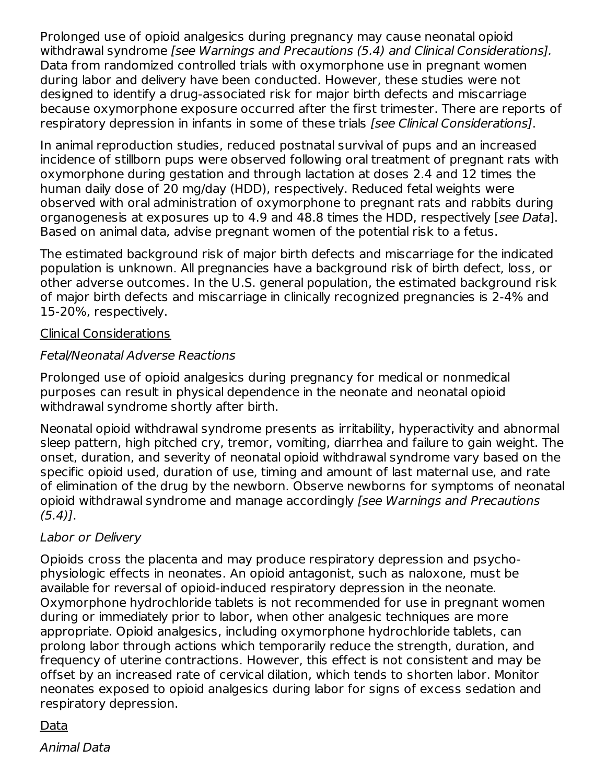Prolonged use of opioid analgesics during pregnancy may cause neonatal opioid withdrawal syndrome [see Warnings and Precautions (5.4) and Clinical Considerations]. Data from randomized controlled trials with oxymorphone use in pregnant women during labor and delivery have been conducted. However, these studies were not designed to identify a drug-associated risk for major birth defects and miscarriage because oxymorphone exposure occurred after the first trimester. There are reports of respiratory depression in infants in some of these trials [see Clinical Considerations].

In animal reproduction studies, reduced postnatal survival of pups and an increased incidence of stillborn pups were observed following oral treatment of pregnant rats with oxymorphone during gestation and through lactation at doses 2.4 and 12 times the human daily dose of 20 mg/day (HDD), respectively. Reduced fetal weights were observed with oral administration of oxymorphone to pregnant rats and rabbits during organogenesis at exposures up to 4.9 and 48.8 times the HDD, respectively [see Data]. Based on animal data, advise pregnant women of the potential risk to a fetus.

The estimated background risk of major birth defects and miscarriage for the indicated population is unknown. All pregnancies have a background risk of birth defect, loss, or other adverse outcomes. In the U.S. general population, the estimated background risk of major birth defects and miscarriage in clinically recognized pregnancies is 2-4% and 15-20%, respectively.

#### Clinical Considerations

#### Fetal/Neonatal Adverse Reactions

Prolonged use of opioid analgesics during pregnancy for medical or nonmedical purposes can result in physical dependence in the neonate and neonatal opioid withdrawal syndrome shortly after birth.

Neonatal opioid withdrawal syndrome presents as irritability, hyperactivity and abnormal sleep pattern, high pitched cry, tremor, vomiting, diarrhea and failure to gain weight. The onset, duration, and severity of neonatal opioid withdrawal syndrome vary based on the specific opioid used, duration of use, timing and amount of last maternal use, and rate of elimination of the drug by the newborn. Observe newborns for symptoms of neonatal opioid withdrawal syndrome and manage accordingly [see Warnings and Precautions  $(5.4)$ .

### Labor or Delivery

Opioids cross the placenta and may produce respiratory depression and psychophysiologic effects in neonates. An opioid antagonist, such as naloxone, must be available for reversal of opioid-induced respiratory depression in the neonate. Oxymorphone hydrochloride tablets is not recommended for use in pregnant women during or immediately prior to labor, when other analgesic techniques are more appropriate. Opioid analgesics, including oxymorphone hydrochloride tablets, can prolong labor through actions which temporarily reduce the strength, duration, and frequency of uterine contractions. However, this effect is not consistent and may be offset by an increased rate of cervical dilation, which tends to shorten labor. Monitor neonates exposed to opioid analgesics during labor for signs of excess sedation and respiratory depression.

Data

Animal Data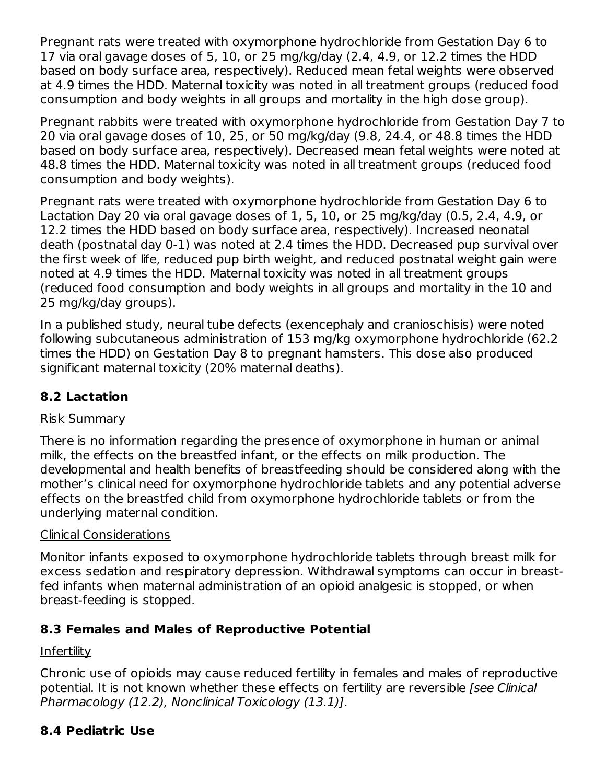Pregnant rats were treated with oxymorphone hydrochloride from Gestation Day 6 to 17 via oral gavage doses of 5, 10, or 25 mg/kg/day (2.4, 4.9, or 12.2 times the HDD based on body surface area, respectively). Reduced mean fetal weights were observed at 4.9 times the HDD. Maternal toxicity was noted in all treatment groups (reduced food consumption and body weights in all groups and mortality in the high dose group).

Pregnant rabbits were treated with oxymorphone hydrochloride from Gestation Day 7 to 20 via oral gavage doses of 10, 25, or 50 mg/kg/day (9.8, 24.4, or 48.8 times the HDD based on body surface area, respectively). Decreased mean fetal weights were noted at 48.8 times the HDD. Maternal toxicity was noted in all treatment groups (reduced food consumption and body weights).

Pregnant rats were treated with oxymorphone hydrochloride from Gestation Day 6 to Lactation Day 20 via oral gavage doses of 1, 5, 10, or 25 mg/kg/day (0.5, 2.4, 4.9, or 12.2 times the HDD based on body surface area, respectively). Increased neonatal death (postnatal day 0-1) was noted at 2.4 times the HDD. Decreased pup survival over the first week of life, reduced pup birth weight, and reduced postnatal weight gain were noted at 4.9 times the HDD. Maternal toxicity was noted in all treatment groups (reduced food consumption and body weights in all groups and mortality in the 10 and 25 mg/kg/day groups).

In a published study, neural tube defects (exencephaly and cranioschisis) were noted following subcutaneous administration of 153 mg/kg oxymorphone hydrochloride (62.2 times the HDD) on Gestation Day 8 to pregnant hamsters. This dose also produced significant maternal toxicity (20% maternal deaths).

## **8.2 Lactation**

### Risk Summary

There is no information regarding the presence of oxymorphone in human or animal milk, the effects on the breastfed infant, or the effects on milk production. The developmental and health benefits of breastfeeding should be considered along with the mother's clinical need for oxymorphone hydrochloride tablets and any potential adverse effects on the breastfed child from oxymorphone hydrochloride tablets or from the underlying maternal condition.

### Clinical Considerations

Monitor infants exposed to oxymorphone hydrochloride tablets through breast milk for excess sedation and respiratory depression. Withdrawal symptoms can occur in breastfed infants when maternal administration of an opioid analgesic is stopped, or when breast-feeding is stopped.

## **8.3 Females and Males of Reproductive Potential**

### **Infertility**

Chronic use of opioids may cause reduced fertility in females and males of reproductive potential. It is not known whether these effects on fertility are reversible [see Clinical Pharmacology (12.2), Nonclinical Toxicology (13.1)].

## **8.4 Pediatric Use**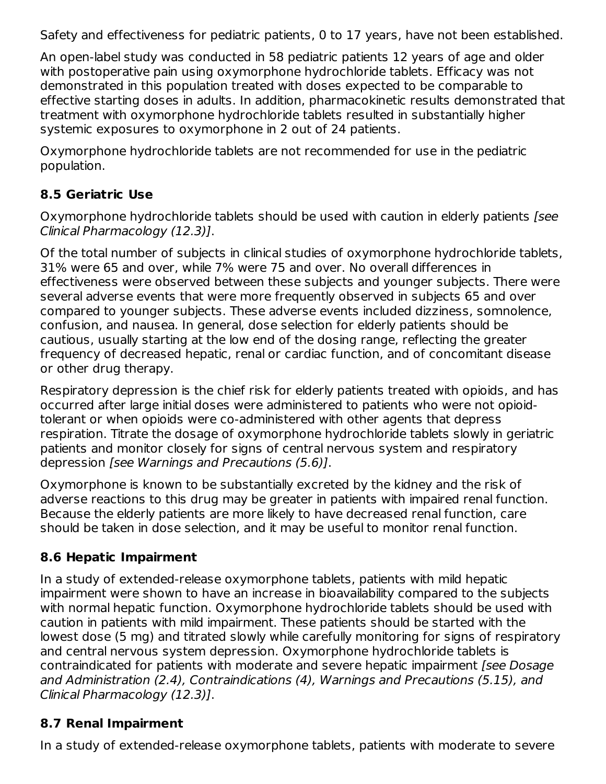Safety and effectiveness for pediatric patients, 0 to 17 years, have not been established.

An open-label study was conducted in 58 pediatric patients 12 years of age and older with postoperative pain using oxymorphone hydrochloride tablets. Efficacy was not demonstrated in this population treated with doses expected to be comparable to effective starting doses in adults. In addition, pharmacokinetic results demonstrated that treatment with oxymorphone hydrochloride tablets resulted in substantially higher systemic exposures to oxymorphone in 2 out of 24 patients.

Oxymorphone hydrochloride tablets are not recommended for use in the pediatric population.

## **8.5 Geriatric Use**

Oxymorphone hydrochloride tablets should be used with caution in elderly patients [see Clinical Pharmacology (12.3)].

Of the total number of subjects in clinical studies of oxymorphone hydrochloride tablets, 31% were 65 and over, while 7% were 75 and over. No overall differences in effectiveness were observed between these subjects and younger subjects. There were several adverse events that were more frequently observed in subjects 65 and over compared to younger subjects. These adverse events included dizziness, somnolence, confusion, and nausea. In general, dose selection for elderly patients should be cautious, usually starting at the low end of the dosing range, reflecting the greater frequency of decreased hepatic, renal or cardiac function, and of concomitant disease or other drug therapy.

Respiratory depression is the chief risk for elderly patients treated with opioids, and has occurred after large initial doses were administered to patients who were not opioidtolerant or when opioids were co-administered with other agents that depress respiration. Titrate the dosage of oxymorphone hydrochloride tablets slowly in geriatric patients and monitor closely for signs of central nervous system and respiratory depression [see Warnings and Precautions (5.6)].

Oxymorphone is known to be substantially excreted by the kidney and the risk of adverse reactions to this drug may be greater in patients with impaired renal function. Because the elderly patients are more likely to have decreased renal function, care should be taken in dose selection, and it may be useful to monitor renal function.

## **8.6 Hepatic Impairment**

In a study of extended-release oxymorphone tablets, patients with mild hepatic impairment were shown to have an increase in bioavailability compared to the subjects with normal hepatic function. Oxymorphone hydrochloride tablets should be used with caution in patients with mild impairment. These patients should be started with the lowest dose (5 mg) and titrated slowly while carefully monitoring for signs of respiratory and central nervous system depression. Oxymorphone hydrochloride tablets is contraindicated for patients with moderate and severe hepatic impairment [see Dosage] and Administration (2.4), Contraindications (4), Warnings and Precautions (5.15), and Clinical Pharmacology (12.3)].

## **8.7 Renal Impairment**

In a study of extended-release oxymorphone tablets, patients with moderate to severe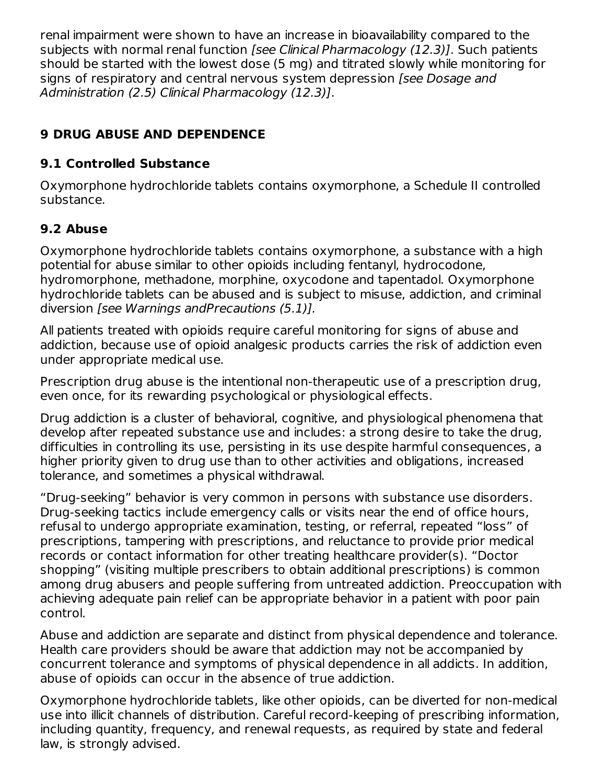renal impairment were shown to have an increase in bioavailability compared to the subjects with normal renal function *[see Clinical Pharmacology (12.3)]*. Such patients should be started with the lowest dose (5 mg) and titrated slowly while monitoring for signs of respiratory and central nervous system depression [see Dosage and Administration (2.5) Clinical Pharmacology (12.3)].

# **9 DRUG ABUSE AND DEPENDENCE**

## **9.1 Controlled Substance**

Oxymorphone hydrochloride tablets contains oxymorphone, a Schedule II controlled substance.

## **9.2 Abuse**

Oxymorphone hydrochloride tablets contains oxymorphone, a substance with a high potential for abuse similar to other opioids including fentanyl, hydrocodone, hydromorphone, methadone, morphine, oxycodone and tapentadol. Oxymorphone hydrochloride tablets can be abused and is subject to misuse, addiction, and criminal diversion [see Warnings andPrecautions (5.1)].

All patients treated with opioids require careful monitoring for signs of abuse and addiction, because use of opioid analgesic products carries the risk of addiction even under appropriate medical use.

Prescription drug abuse is the intentional non-therapeutic use of a prescription drug, even once, for its rewarding psychological or physiological effects.

Drug addiction is a cluster of behavioral, cognitive, and physiological phenomena that develop after repeated substance use and includes: a strong desire to take the drug, difficulties in controlling its use, persisting in its use despite harmful consequences, a higher priority given to drug use than to other activities and obligations, increased tolerance, and sometimes a physical withdrawal.

"Drug-seeking" behavior is very common in persons with substance use disorders. Drug-seeking tactics include emergency calls or visits near the end of office hours, refusal to undergo appropriate examination, testing, or referral, repeated "loss" of prescriptions, tampering with prescriptions, and reluctance to provide prior medical records or contact information for other treating healthcare provider(s). "Doctor shopping" (visiting multiple prescribers to obtain additional prescriptions) is common among drug abusers and people suffering from untreated addiction. Preoccupation with achieving adequate pain relief can be appropriate behavior in a patient with poor pain control.

Abuse and addiction are separate and distinct from physical dependence and tolerance. Health care providers should be aware that addiction may not be accompanied by concurrent tolerance and symptoms of physical dependence in all addicts. In addition, abuse of opioids can occur in the absence of true addiction.

Oxymorphone hydrochloride tablets, like other opioids, can be diverted for non-medical use into illicit channels of distribution. Careful record-keeping of prescribing information, including quantity, frequency, and renewal requests, as required by state and federal law, is strongly advised.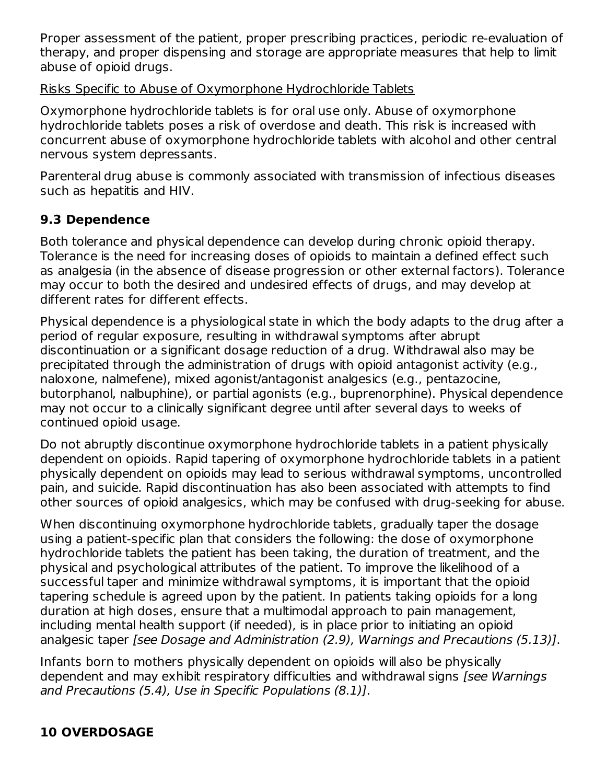Proper assessment of the patient, proper prescribing practices, periodic re-evaluation of therapy, and proper dispensing and storage are appropriate measures that help to limit abuse of opioid drugs.

#### Risks Specific to Abuse of Oxymorphone Hydrochloride Tablets

Oxymorphone hydrochloride tablets is for oral use only. Abuse of oxymorphone hydrochloride tablets poses a risk of overdose and death. This risk is increased with concurrent abuse of oxymorphone hydrochloride tablets with alcohol and other central nervous system depressants.

Parenteral drug abuse is commonly associated with transmission of infectious diseases such as hepatitis and HIV.

### **9.3 Dependence**

Both tolerance and physical dependence can develop during chronic opioid therapy. Tolerance is the need for increasing doses of opioids to maintain a defined effect such as analgesia (in the absence of disease progression or other external factors). Tolerance may occur to both the desired and undesired effects of drugs, and may develop at different rates for different effects.

Physical dependence is a physiological state in which the body adapts to the drug after a period of regular exposure, resulting in withdrawal symptoms after abrupt discontinuation or a significant dosage reduction of a drug. Withdrawal also may be precipitated through the administration of drugs with opioid antagonist activity (e.g., naloxone, nalmefene), mixed agonist/antagonist analgesics (e.g., pentazocine, butorphanol, nalbuphine), or partial agonists (e.g., buprenorphine). Physical dependence may not occur to a clinically significant degree until after several days to weeks of continued opioid usage.

Do not abruptly discontinue oxymorphone hydrochloride tablets in a patient physically dependent on opioids. Rapid tapering of oxymorphone hydrochloride tablets in a patient physically dependent on opioids may lead to serious withdrawal symptoms, uncontrolled pain, and suicide. Rapid discontinuation has also been associated with attempts to find other sources of opioid analgesics, which may be confused with drug-seeking for abuse.

When discontinuing oxymorphone hydrochloride tablets, gradually taper the dosage using a patient-specific plan that considers the following: the dose of oxymorphone hydrochloride tablets the patient has been taking, the duration of treatment, and the physical and psychological attributes of the patient. To improve the likelihood of a successful taper and minimize withdrawal symptoms, it is important that the opioid tapering schedule is agreed upon by the patient. In patients taking opioids for a long duration at high doses, ensure that a multimodal approach to pain management, including mental health support (if needed), is in place prior to initiating an opioid analgesic taper [see Dosage and Administration (2.9), Warnings and Precautions (5.13)].

Infants born to mothers physically dependent on opioids will also be physically dependent and may exhibit respiratory difficulties and withdrawal signs [see Warnings] and Precautions (5.4), Use in Specific Populations (8.1)].

## **10 OVERDOSAGE**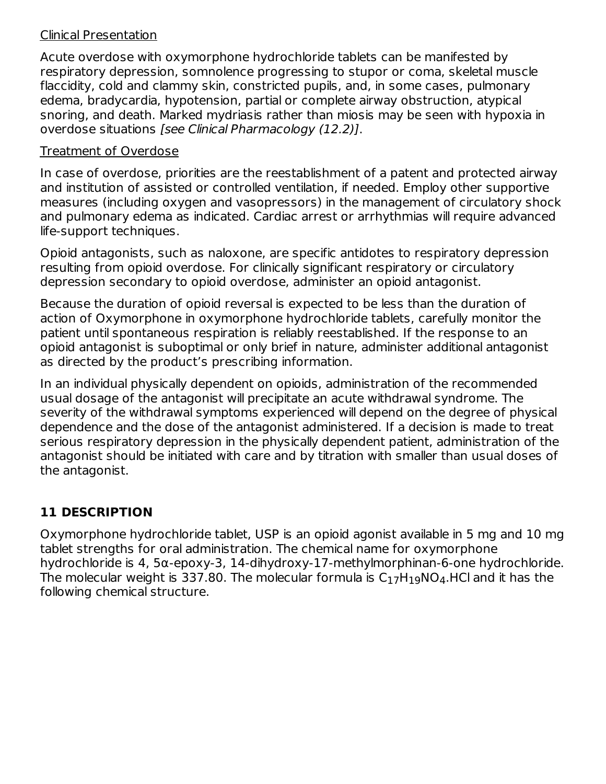#### Clinical Presentation

Acute overdose with oxymorphone hydrochloride tablets can be manifested by respiratory depression, somnolence progressing to stupor or coma, skeletal muscle flaccidity, cold and clammy skin, constricted pupils, and, in some cases, pulmonary edema, bradycardia, hypotension, partial or complete airway obstruction, atypical snoring, and death. Marked mydriasis rather than miosis may be seen with hypoxia in overdose situations [see Clinical Pharmacology (12.2)].

#### Treatment of Overdose

In case of overdose, priorities are the reestablishment of a patent and protected airway and institution of assisted or controlled ventilation, if needed. Employ other supportive measures (including oxygen and vasopressors) in the management of circulatory shock and pulmonary edema as indicated. Cardiac arrest or arrhythmias will require advanced life-support techniques.

Opioid antagonists, such as naloxone, are specific antidotes to respiratory depression resulting from opioid overdose. For clinically significant respiratory or circulatory depression secondary to opioid overdose, administer an opioid antagonist.

Because the duration of opioid reversal is expected to be less than the duration of action of Oxymorphone in oxymorphone hydrochloride tablets, carefully monitor the patient until spontaneous respiration is reliably reestablished. If the response to an opioid antagonist is suboptimal or only brief in nature, administer additional antagonist as directed by the product's prescribing information.

In an individual physically dependent on opioids, administration of the recommended usual dosage of the antagonist will precipitate an acute withdrawal syndrome. The severity of the withdrawal symptoms experienced will depend on the degree of physical dependence and the dose of the antagonist administered. If a decision is made to treat serious respiratory depression in the physically dependent patient, administration of the antagonist should be initiated with care and by titration with smaller than usual doses of the antagonist.

## **11 DESCRIPTION**

Oxymorphone hydrochloride tablet, USP is an opioid agonist available in 5 mg and 10 mg tablet strengths for oral administration. The chemical name for oxymorphone hydrochloride is 4, 5α-epoxy-3, 14-dihydroxy-17-methylmorphinan-6-one hydrochloride. The molecular weight is 337.80. The molecular formula is  ${\sf C}_{17} {\sf H}_{19}$ NO $_4$ .HCl and it has the following chemical structure.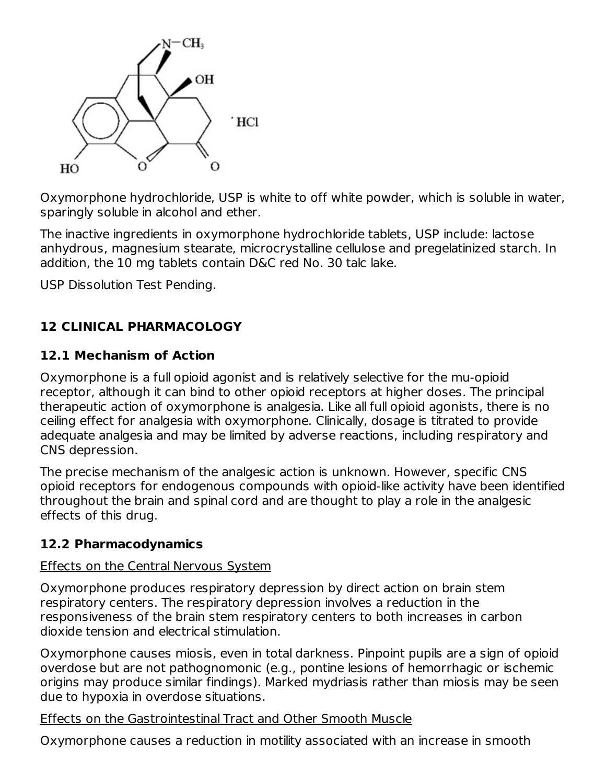

Oxymorphone hydrochloride, USP is white to off white powder, which is soluble in water, sparingly soluble in alcohol and ether.

The inactive ingredients in oxymorphone hydrochloride tablets, USP include: lactose anhydrous, magnesium stearate, microcrystalline cellulose and pregelatinized starch. In addition, the 10 mg tablets contain D&C red No. 30 talc lake.

USP Dissolution Test Pending.

## **12 CLINICAL PHARMACOLOGY**

### **12.1 Mechanism of Action**

Oxymorphone is a full opioid agonist and is relatively selective for the mu-opioid receptor, although it can bind to other opioid receptors at higher doses. The principal therapeutic action of oxymorphone is analgesia. Like all full opioid agonists, there is no ceiling effect for analgesia with oxymorphone. Clinically, dosage is titrated to provide adequate analgesia and may be limited by adverse reactions, including respiratory and CNS depression.

The precise mechanism of the analgesic action is unknown. However, specific CNS opioid receptors for endogenous compounds with opioid-like activity have been identified throughout the brain and spinal cord and are thought to play a role in the analgesic effects of this drug.

### **12.2 Pharmacodynamics**

### **Effects on the Central Nervous System**

Oxymorphone produces respiratory depression by direct action on brain stem respiratory centers. The respiratory depression involves a reduction in the responsiveness of the brain stem respiratory centers to both increases in carbon dioxide tension and electrical stimulation.

Oxymorphone causes miosis, even in total darkness. Pinpoint pupils are a sign of opioid overdose but are not pathognomonic (e.g., pontine lesions of hemorrhagic or ischemic origins may produce similar findings). Marked mydriasis rather than miosis may be seen due to hypoxia in overdose situations.

#### Effects on the Gastrointestinal Tract and Other Smooth Muscle

Oxymorphone causes a reduction in motility associated with an increase in smooth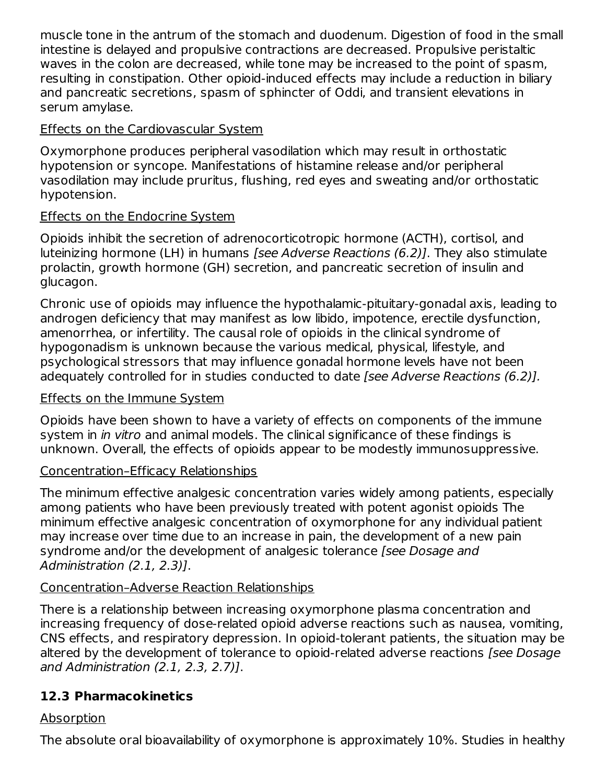muscle tone in the antrum of the stomach and duodenum. Digestion of food in the small intestine is delayed and propulsive contractions are decreased. Propulsive peristaltic waves in the colon are decreased, while tone may be increased to the point of spasm, resulting in constipation. Other opioid-induced effects may include a reduction in biliary and pancreatic secretions, spasm of sphincter of Oddi, and transient elevations in serum amylase.

### Effects on the Cardiovascular System

Oxymorphone produces peripheral vasodilation which may result in orthostatic hypotension or syncope. Manifestations of histamine release and/or peripheral vasodilation may include pruritus, flushing, red eyes and sweating and/or orthostatic hypotension.

### Effects on the Endocrine System

Opioids inhibit the secretion of adrenocorticotropic hormone (ACTH), cortisol, and luteinizing hormone (LH) in humans [see Adverse Reactions (6.2)]. They also stimulate prolactin, growth hormone (GH) secretion, and pancreatic secretion of insulin and glucagon.

Chronic use of opioids may influence the hypothalamic-pituitary-gonadal axis, leading to androgen deficiency that may manifest as low libido, impotence, erectile dysfunction, amenorrhea, or infertility. The causal role of opioids in the clinical syndrome of hypogonadism is unknown because the various medical, physical, lifestyle, and psychological stressors that may influence gonadal hormone levels have not been adequately controlled for in studies conducted to date [see Adverse Reactions (6.2)].

### Effects on the Immune System

Opioids have been shown to have a variety of effects on components of the immune system in *in vitro* and animal models. The clinical significance of these findings is unknown. Overall, the effects of opioids appear to be modestly immunosuppressive.

### Concentration–Efficacy Relationships

The minimum effective analgesic concentration varies widely among patients, especially among patients who have been previously treated with potent agonist opioids The minimum effective analgesic concentration of oxymorphone for any individual patient may increase over time due to an increase in pain, the development of a new pain syndrome and/or the development of analgesic tolerance *[see Dosage and* Administration (2.1, 2.3)].

### Concentration–Adverse Reaction Relationships

There is a relationship between increasing oxymorphone plasma concentration and increasing frequency of dose-related opioid adverse reactions such as nausea, vomiting, CNS effects, and respiratory depression. In opioid-tolerant patients, the situation may be altered by the development of tolerance to opioid-related adverse reactions [see Dosage and Administration (2.1, 2.3, 2.7)].

## **12.3 Pharmacokinetics**

### Absorption

The absolute oral bioavailability of oxymorphone is approximately 10%. Studies in healthy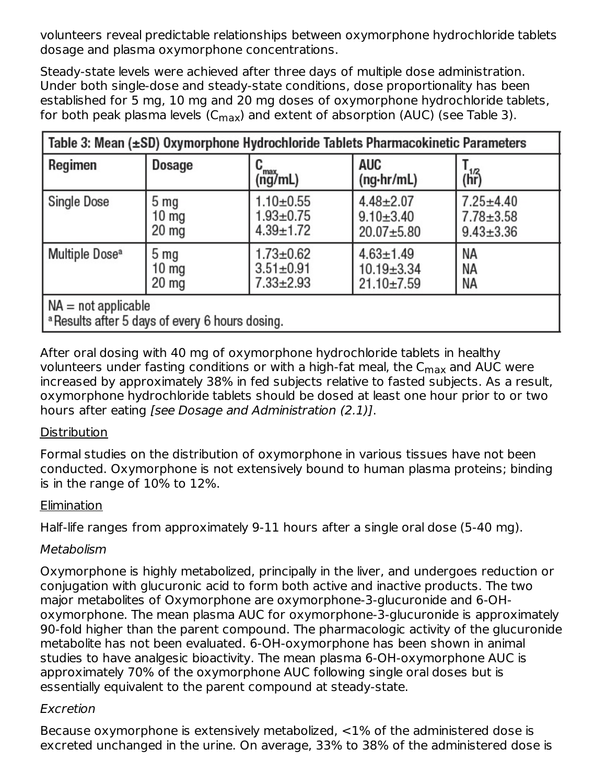volunteers reveal predictable relationships between oxymorphone hydrochloride tablets dosage and plasma oxymorphone concentrations.

Steady-state levels were achieved after three days of multiple dose administration. Under both single-dose and steady-state conditions, dose proportionality has been established for 5 mg, 10 mg and 20 mg doses of oxymorphone hydrochloride tablets, for both peak plasma levels (C $_{\sf max}$ ) and extent of absorption (AUC) (see Table 3).

| Table 3: Mean (±SD) Oxymorphone Hydrochloride Tablets Pharmacokinetic Parameters    |                                                       |                                                       |                                                         |                                                       |
|-------------------------------------------------------------------------------------|-------------------------------------------------------|-------------------------------------------------------|---------------------------------------------------------|-------------------------------------------------------|
| Regimen                                                                             | Dosage                                                | $\lim_{n \to \infty}$                                 | <b>AUC</b><br>$(ng\cdot hr/mL)$                         | $\overline{h}^{1/2}$                                  |
| <b>Single Dose</b>                                                                  | 5 <sub>mg</sub><br>$10 \text{ mg}$<br>$20 \text{ mg}$ | $1.10 + 0.55$<br>$1.93 + 0.75$<br>$4.39 \pm 1.72$     | $4.48 \pm 2.07$<br>$9.10 \pm 3.40$<br>$20.07 + 5.80$    | $7.25 \pm 4.40$<br>$7.78 \pm 3.58$<br>$9.43 \pm 3.36$ |
| Multiple Dose <sup>a</sup>                                                          | 5 <sub>mg</sub><br>$10 \text{ mg}$<br>$20 \text{ mg}$ | $1.73 \pm 0.62$<br>$3.51 \pm 0.91$<br>$7.33 \pm 2.93$ | $4.63 \pm 1.49$<br>$10.19 \pm 3.34$<br>$21.10 \pm 7.59$ | ΝA<br>ΝA<br>ΝA                                        |
| $NA = not applicable$<br><sup>a</sup> Results after 5 days of every 6 hours dosing. |                                                       |                                                       |                                                         |                                                       |

After oral dosing with 40 mg of oxymorphone hydrochloride tablets in healthy volunteers under fasting conditions or with a high-fat meal, the  ${\sf C}_{\sf max}$  and AUC were increased by approximately 38% in fed subjects relative to fasted subjects. As a result, oxymorphone hydrochloride tablets should be dosed at least one hour prior to or two hours after eating [see Dosage and Administration (2.1)].

### **Distribution**

Formal studies on the distribution of oxymorphone in various tissues have not been conducted. Oxymorphone is not extensively bound to human plasma proteins; binding is in the range of 10% to 12%.

## **Elimination**

Half-life ranges from approximately 9-11 hours after a single oral dose (5-40 mg).

## Metabolism

Oxymorphone is highly metabolized, principally in the liver, and undergoes reduction or conjugation with glucuronic acid to form both active and inactive products. The two major metabolites of Oxymorphone are oxymorphone-3-glucuronide and 6-OHoxymorphone. The mean plasma AUC for oxymorphone-3-glucuronide is approximately 90-fold higher than the parent compound. The pharmacologic activity of the glucuronide metabolite has not been evaluated. 6-OH-oxymorphone has been shown in animal studies to have analgesic bioactivity. The mean plasma 6-OH-oxymorphone AUC is approximately 70% of the oxymorphone AUC following single oral doses but is essentially equivalent to the parent compound at steady-state.

### Excretion

Because oxymorphone is extensively metabolized, <1% of the administered dose is excreted unchanged in the urine. On average, 33% to 38% of the administered dose is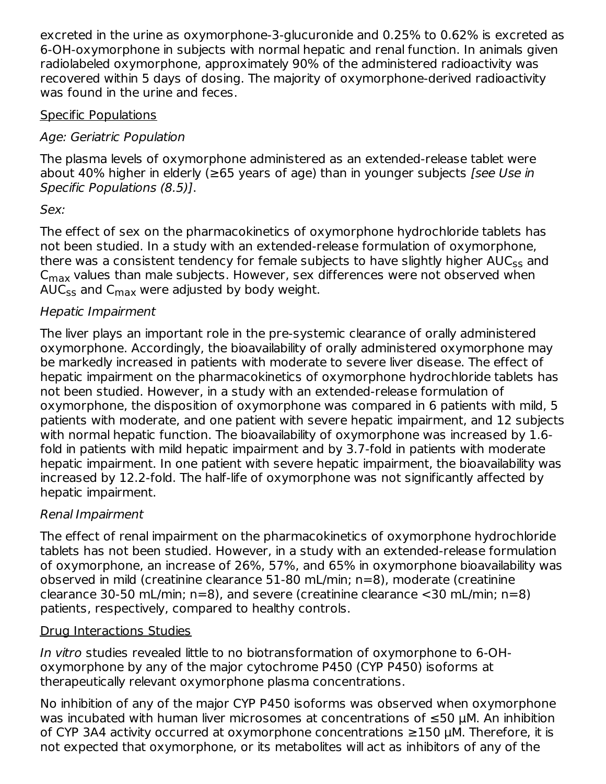excreted in the urine as oxymorphone-3-glucuronide and 0.25% to 0.62% is excreted as 6-OH-oxymorphone in subjects with normal hepatic and renal function. In animals given radiolabeled oxymorphone, approximately 90% of the administered radioactivity was recovered within 5 days of dosing. The majority of oxymorphone-derived radioactivity was found in the urine and feces.

#### Specific Populations

### Age: Geriatric Population

The plasma levels of oxymorphone administered as an extended-release tablet were about 40% higher in elderly ( $\geq 65$  years of age) than in younger subjects [see Use in Specific Populations (8.5)].

### Sex:

The effect of sex on the pharmacokinetics of oxymorphone hydrochloride tablets has not been studied. In a study with an extended-release formulation of oxymorphone, there was a consistent tendency for female subjects to have slightly higher  $\mathsf{AUC_{SS}}$  and  $\mathsf{C}_{\mathsf{max}}$  values than male subjects. However, sex differences were not observed when AUC $_{\rm ss}$  and C $_{\rm max}$  were adjusted by body weight.

### Hepatic Impairment

The liver plays an important role in the pre-systemic clearance of orally administered oxymorphone. Accordingly, the bioavailability of orally administered oxymorphone may be markedly increased in patients with moderate to severe liver disease. The effect of hepatic impairment on the pharmacokinetics of oxymorphone hydrochloride tablets has not been studied. However, in a study with an extended-release formulation of oxymorphone, the disposition of oxymorphone was compared in 6 patients with mild, 5 patients with moderate, and one patient with severe hepatic impairment, and 12 subjects with normal hepatic function. The bioavailability of oxymorphone was increased by 1.6 fold in patients with mild hepatic impairment and by 3.7-fold in patients with moderate hepatic impairment. In one patient with severe hepatic impairment, the bioavailability was increased by 12.2-fold. The half-life of oxymorphone was not significantly affected by hepatic impairment.

### Renal Impairment

The effect of renal impairment on the pharmacokinetics of oxymorphone hydrochloride tablets has not been studied. However, in a study with an extended-release formulation of oxymorphone, an increase of 26%, 57%, and 65% in oxymorphone bioavailability was observed in mild (creatinine clearance 51-80 mL/min; n=8), moderate (creatinine clearance 30-50 mL/min; n=8), and severe (creatinine clearance <30 mL/min; n=8) patients, respectively, compared to healthy controls.

### Drug Interactions Studies

In vitro studies revealed little to no biotransformation of oxymorphone to 6-OHoxymorphone by any of the major cytochrome P450 (CYP P450) isoforms at therapeutically relevant oxymorphone plasma concentrations.

No inhibition of any of the major CYP P450 isoforms was observed when oxymorphone was incubated with human liver microsomes at concentrations of ≤50 μM. An inhibition of CYP 3A4 activity occurred at oxymorphone concentrations ≥150 μM. Therefore, it is not expected that oxymorphone, or its metabolites will act as inhibitors of any of the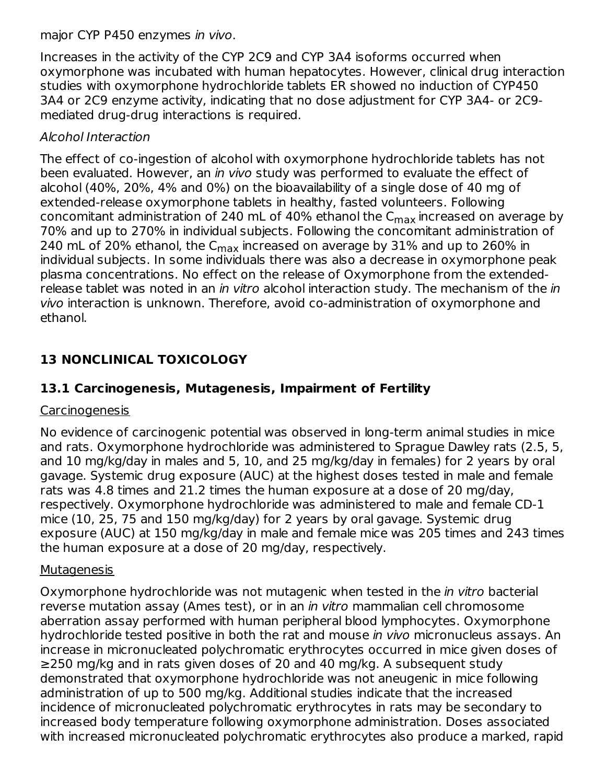#### major CYP P450 enzymes in vivo.

Increases in the activity of the CYP 2C9 and CYP 3A4 isoforms occurred when oxymorphone was incubated with human hepatocytes. However, clinical drug interaction studies with oxymorphone hydrochloride tablets ER showed no induction of CYP450 3A4 or 2C9 enzyme activity, indicating that no dose adjustment for CYP 3A4- or 2C9 mediated drug-drug interactions is required.

### Alcohol Interaction

The effect of co-ingestion of alcohol with oxymorphone hydrochloride tablets has not been evaluated. However, an in vivo study was performed to evaluate the effect of alcohol (40%, 20%, 4% and 0%) on the bioavailability of a single dose of 40 mg of extended-release oxymorphone tablets in healthy, fasted volunteers. Following concomitant administration of 240 mL of 40% ethanol the C<sub>max</sub> increased on average by 70% and up to 270% in individual subjects. Following the concomitant administration of 240 mL of 20% ethanol, the C<sub>max</sub> increased on average by 31% and up to 260% in individual subjects. In some individuals there was also a decrease in oxymorphone peak plasma concentrations. No effect on the release of Oxymorphone from the extendedrelease tablet was noted in an in vitro alcohol interaction study. The mechanism of the in vivo interaction is unknown. Therefore, avoid co-administration of oxymorphone and ethanol.

## **13 NONCLINICAL TOXICOLOGY**

## **13.1 Carcinogenesis, Mutagenesis, Impairment of Fertility**

### **Carcinogenesis**

No evidence of carcinogenic potential was observed in long-term animal studies in mice and rats. Oxymorphone hydrochloride was administered to Sprague Dawley rats (2.5, 5, and 10 mg/kg/day in males and 5, 10, and 25 mg/kg/day in females) for 2 years by oral gavage. Systemic drug exposure (AUC) at the highest doses tested in male and female rats was 4.8 times and 21.2 times the human exposure at a dose of 20 mg/day, respectively. Oxymorphone hydrochloride was administered to male and female CD-1 mice (10, 25, 75 and 150 mg/kg/day) for 2 years by oral gavage. Systemic drug exposure (AUC) at 150 mg/kg/day in male and female mice was 205 times and 243 times the human exposure at a dose of 20 mg/day, respectively.

### Mutagenesis

Oxymorphone hydrochloride was not mutagenic when tested in the in vitro bacterial reverse mutation assay (Ames test), or in an *in vitro* mammalian cell chromosome aberration assay performed with human peripheral blood lymphocytes. Oxymorphone hydrochloride tested positive in both the rat and mouse in vivo micronucleus assays. An increase in micronucleated polychromatic erythrocytes occurred in mice given doses of ≥250 mg/kg and in rats given doses of 20 and 40 mg/kg. A subsequent study demonstrated that oxymorphone hydrochloride was not aneugenic in mice following administration of up to 500 mg/kg. Additional studies indicate that the increased incidence of micronucleated polychromatic erythrocytes in rats may be secondary to increased body temperature following oxymorphone administration. Doses associated with increased micronucleated polychromatic erythrocytes also produce a marked, rapid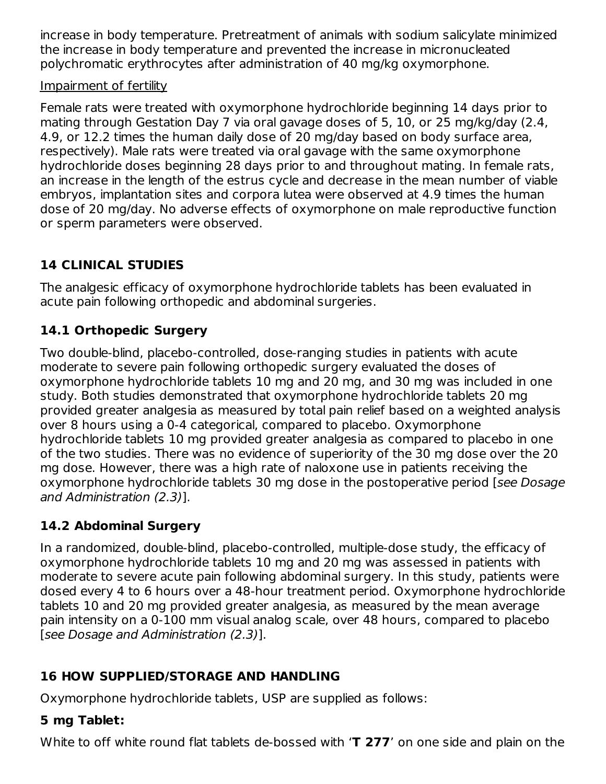increase in body temperature. Pretreatment of animals with sodium salicylate minimized the increase in body temperature and prevented the increase in micronucleated polychromatic erythrocytes after administration of 40 mg/kg oxymorphone.

### Impairment of fertility

Female rats were treated with oxymorphone hydrochloride beginning 14 days prior to mating through Gestation Day 7 via oral gavage doses of 5, 10, or 25 mg/kg/day (2.4, 4.9, or 12.2 times the human daily dose of 20 mg/day based on body surface area, respectively). Male rats were treated via oral gavage with the same oxymorphone hydrochloride doses beginning 28 days prior to and throughout mating. In female rats, an increase in the length of the estrus cycle and decrease in the mean number of viable embryos, implantation sites and corpora lutea were observed at 4.9 times the human dose of 20 mg/day. No adverse effects of oxymorphone on male reproductive function or sperm parameters were observed.

# **14 CLINICAL STUDIES**

The analgesic efficacy of oxymorphone hydrochloride tablets has been evaluated in acute pain following orthopedic and abdominal surgeries.

## **14.1 Orthopedic Surgery**

Two double-blind, placebo-controlled, dose-ranging studies in patients with acute moderate to severe pain following orthopedic surgery evaluated the doses of oxymorphone hydrochloride tablets 10 mg and 20 mg, and 30 mg was included in one study. Both studies demonstrated that oxymorphone hydrochloride tablets 20 mg provided greater analgesia as measured by total pain relief based on a weighted analysis over 8 hours using a 0-4 categorical, compared to placebo. Oxymorphone hydrochloride tablets 10 mg provided greater analgesia as compared to placebo in one of the two studies. There was no evidence of superiority of the 30 mg dose over the 20 mg dose. However, there was a high rate of naloxone use in patients receiving the oxymorphone hydrochloride tablets 30 mg dose in the postoperative period [see Dosage and Administration (2.3)].

## **14.2 Abdominal Surgery**

In a randomized, double-blind, placebo-controlled, multiple-dose study, the efficacy of oxymorphone hydrochloride tablets 10 mg and 20 mg was assessed in patients with moderate to severe acute pain following abdominal surgery. In this study, patients were dosed every 4 to 6 hours over a 48-hour treatment period. Oxymorphone hydrochloride tablets 10 and 20 mg provided greater analgesia, as measured by the mean average pain intensity on a 0-100 mm visual analog scale, over 48 hours, compared to placebo [see Dosage and Administration (2.3)].

## **16 HOW SUPPLIED/STORAGE AND HANDLING**

Oxymorphone hydrochloride tablets, USP are supplied as follows:

## **5 mg Tablet:**

White to off white round flat tablets de-bossed with '**T 277**' on one side and plain on the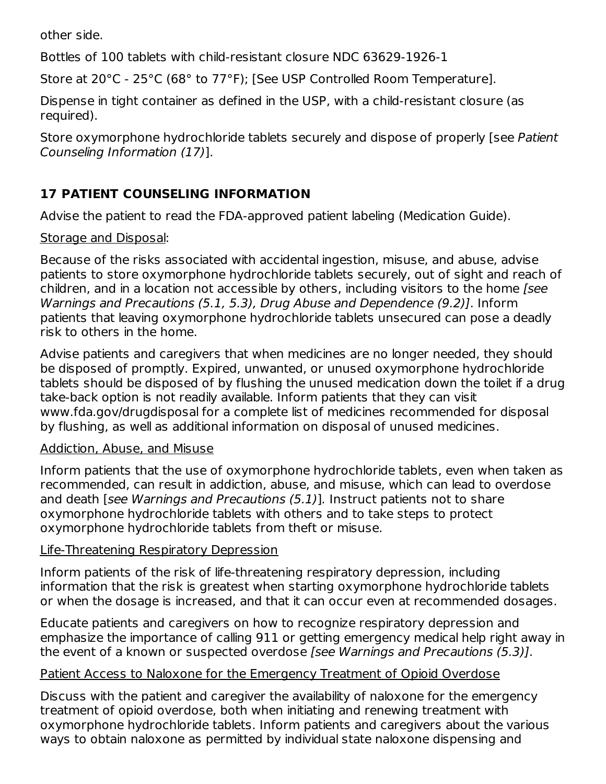other side.

Bottles of 100 tablets with child-resistant closure NDC 63629-1926-1

Store at 20°C - 25°C (68° to 77°F); [See USP Controlled Room Temperature].

Dispense in tight container as defined in the USP, with a child-resistant closure (as required).

Store oxymorphone hydrochloride tablets securely and dispose of properly [see Patient Counseling Information (17)].

## **17 PATIENT COUNSELING INFORMATION**

Advise the patient to read the FDA-approved patient labeling (Medication Guide).

### Storage and Disposal:

Because of the risks associated with accidental ingestion, misuse, and abuse, advise patients to store oxymorphone hydrochloride tablets securely, out of sight and reach of children, and in a location not accessible by others, including visitors to the home [see Warnings and Precautions (5.1, 5.3), Drug Abuse and Dependence (9.2)]. Inform patients that leaving oxymorphone hydrochloride tablets unsecured can pose a deadly risk to others in the home.

Advise patients and caregivers that when medicines are no longer needed, they should be disposed of promptly. Expired, unwanted, or unused oxymorphone hydrochloride tablets should be disposed of by flushing the unused medication down the toilet if a drug take-back option is not readily available. Inform patients that they can visit www.fda.gov/drugdisposal for a complete list of medicines recommended for disposal by flushing, as well as additional information on disposal of unused medicines.

### Addiction, Abuse, and Misuse

Inform patients that the use of oxymorphone hydrochloride tablets, even when taken as recommended, can result in addiction, abuse, and misuse, which can lead to overdose and death [see Warnings and Precautions (5.1)]. Instruct patients not to share oxymorphone hydrochloride tablets with others and to take steps to protect oxymorphone hydrochloride tablets from theft or misuse.

### Life-Threatening Respiratory Depression

Inform patients of the risk of life-threatening respiratory depression, including information that the risk is greatest when starting oxymorphone hydrochloride tablets or when the dosage is increased, and that it can occur even at recommended dosages.

Educate patients and caregivers on how to recognize respiratory depression and emphasize the importance of calling 911 or getting emergency medical help right away in the event of a known or suspected overdose [see Warnings and Precautions (5.3)].

### Patient Access to Naloxone for the Emergency Treatment of Opioid Overdose

Discuss with the patient and caregiver the availability of naloxone for the emergency treatment of opioid overdose, both when initiating and renewing treatment with oxymorphone hydrochloride tablets. Inform patients and caregivers about the various ways to obtain naloxone as permitted by individual state naloxone dispensing and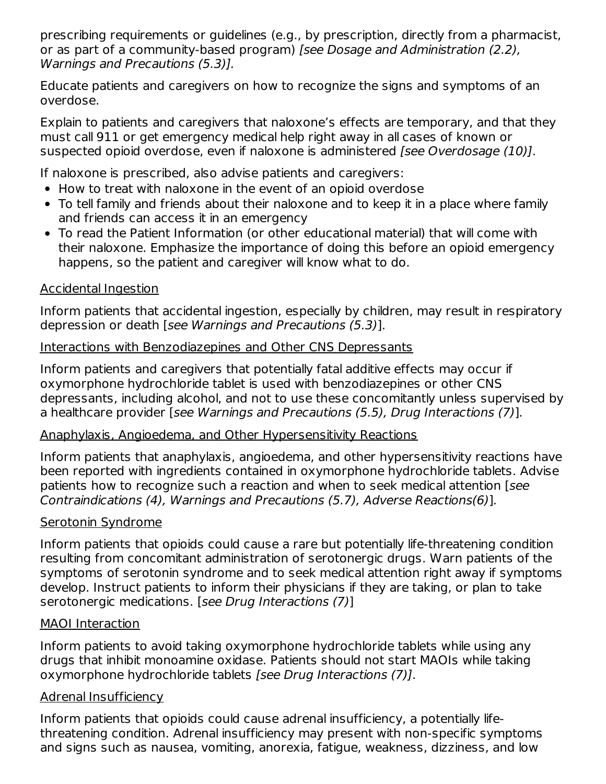prescribing requirements or guidelines (e.g., by prescription, directly from a pharmacist, or as part of a community-based program) [see Dosage and Administration (2.2), Warnings and Precautions (5.3)].

Educate patients and caregivers on how to recognize the signs and symptoms of an overdose.

Explain to patients and caregivers that naloxone's effects are temporary, and that they must call 911 or get emergency medical help right away in all cases of known or suspected opioid overdose, even if naloxone is administered [see Overdosage (10)].

If naloxone is prescribed, also advise patients and caregivers:

- How to treat with naloxone in the event of an opioid overdose
- To tell family and friends about their naloxone and to keep it in a place where family and friends can access it in an emergency
- To read the Patient Information (or other educational material) that will come with their naloxone. Emphasize the importance of doing this before an opioid emergency happens, so the patient and caregiver will know what to do.

#### Accidental Ingestion

Inform patients that accidental ingestion, especially by children, may result in respiratory depression or death [see Warnings and Precautions (5.3)].

#### Interactions with Benzodiazepines and Other CNS Depressants

Inform patients and caregivers that potentially fatal additive effects may occur if oxymorphone hydrochloride tablet is used with benzodiazepines or other CNS depressants, including alcohol, and not to use these concomitantly unless supervised by a healthcare provider [see Warnings and Precautions (5.5), Drug Interactions (7)].

#### Anaphylaxis, Angioedema, and Other Hypersensitivity Reactions

Inform patients that anaphylaxis, angioedema, and other hypersensitivity reactions have been reported with ingredients contained in oxymorphone hydrochloride tablets. Advise patients how to recognize such a reaction and when to seek medical attention [see Contraindications (4), Warnings and Precautions (5.7), Adverse Reactions(6)].

#### Serotonin Syndrome

Inform patients that opioids could cause a rare but potentially life-threatening condition resulting from concomitant administration of serotonergic drugs. Warn patients of the symptoms of serotonin syndrome and to seek medical attention right away if symptoms develop. Instruct patients to inform their physicians if they are taking, or plan to take serotonergic medications. [see Drug Interactions (7)]

#### MAOI Interaction

Inform patients to avoid taking oxymorphone hydrochloride tablets while using any drugs that inhibit monoamine oxidase. Patients should not start MAOIs while taking oxymorphone hydrochloride tablets [see Drug Interactions (7)].

#### Adrenal Insufficiency

Inform patients that opioids could cause adrenal insufficiency, a potentially lifethreatening condition. Adrenal insufficiency may present with non-specific symptoms and signs such as nausea, vomiting, anorexia, fatigue, weakness, dizziness, and low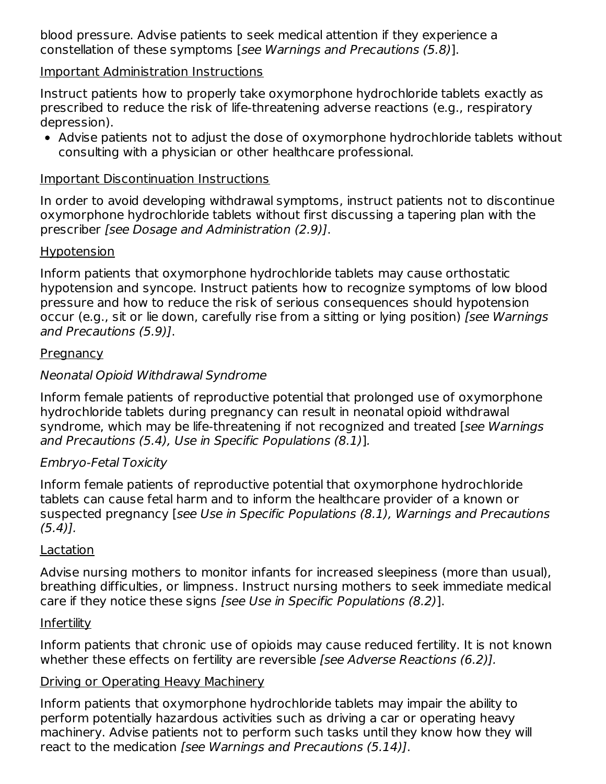blood pressure. Advise patients to seek medical attention if they experience a constellation of these symptoms [see Warnings and Precautions (5.8)].

#### Important Administration Instructions

Instruct patients how to properly take oxymorphone hydrochloride tablets exactly as prescribed to reduce the risk of life-threatening adverse reactions (e.g., respiratory depression).

Advise patients not to adjust the dose of oxymorphone hydrochloride tablets without consulting with a physician or other healthcare professional.

#### Important Discontinuation Instructions

In order to avoid developing withdrawal symptoms, instruct patients not to discontinue oxymorphone hydrochloride tablets without first discussing a tapering plan with the prescriber [see Dosage and Administration (2.9)].

#### **Hypotension**

Inform patients that oxymorphone hydrochloride tablets may cause orthostatic hypotension and syncope. Instruct patients how to recognize symptoms of low blood pressure and how to reduce the risk of serious consequences should hypotension occur (e.g., sit or lie down, carefully rise from a sitting or lying position) [see Warnings] and Precautions (5.9)].

#### **Pregnancy**

#### Neonatal Opioid Withdrawal Syndrome

Inform female patients of reproductive potential that prolonged use of oxymorphone hydrochloride tablets during pregnancy can result in neonatal opioid withdrawal syndrome, which may be life-threatening if not recognized and treated [see Warnings] and Precautions (5.4), Use in Specific Populations (8.1)].

#### Embryo-Fetal Toxicity

Inform female patients of reproductive potential that oxymorphone hydrochloride tablets can cause fetal harm and to inform the healthcare provider of a known or suspected pregnancy [see Use in Specific Populations (8.1), Warnings and Precautions  $(5.4)$ .

#### Lactation

Advise nursing mothers to monitor infants for increased sleepiness (more than usual), breathing difficulties, or limpness. Instruct nursing mothers to seek immediate medical care if they notice these signs [see Use in Specific Populations (8.2)].

#### Infertility

Inform patients that chronic use of opioids may cause reduced fertility. It is not known whether these effects on fertility are reversible [see Adverse Reactions (6.2)].

#### Driving or Operating Heavy Machinery

Inform patients that oxymorphone hydrochloride tablets may impair the ability to perform potentially hazardous activities such as driving a car or operating heavy machinery. Advise patients not to perform such tasks until they know how they will react to the medication *[see Warnings and Precautions (5.14)]*.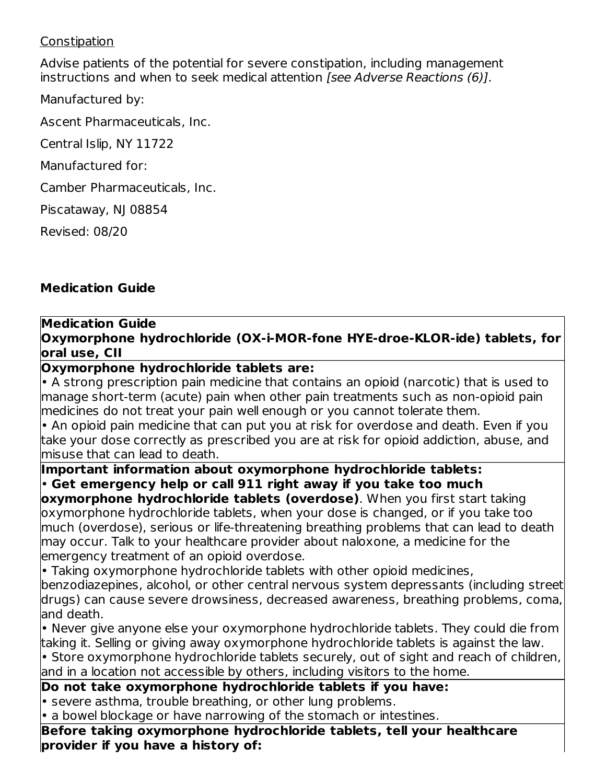#### **Constipation**

Advise patients of the potential for severe constipation, including management instructions and when to seek medical attention *[see Adverse Reactions (6)]*.

Manufactured by:

Ascent Pharmaceuticals, Inc.

Central Islip, NY 11722

Manufactured for:

Camber Pharmaceuticals, Inc.

Piscataway, NJ 08854

Revised: 08/20

### **Medication Guide**

### **Medication Guide**

### **Oxymorphone hydrochloride (OX-i-MOR-fone HYE-droe-KLOR-ide) tablets, for oral use, CII**

**Oxymorphone hydrochloride tablets are:**

• A strong prescription pain medicine that contains an opioid (narcotic) that is used to manage short-term (acute) pain when other pain treatments such as non-opioid pain medicines do not treat your pain well enough or you cannot tolerate them.

• An opioid pain medicine that can put you at risk for overdose and death. Even if you take your dose correctly as prescribed you are at risk for opioid addiction, abuse, and misuse that can lead to death.

#### **Important information about oxymorphone hydrochloride tablets:** • **Get emergency help or call 911 right away if you take too much**

**oxymorphone hydrochloride tablets (overdose)**. When you first start taking oxymorphone hydrochloride tablets, when your dose is changed, or if you take too much (overdose), serious or life-threatening breathing problems that can lead to death may occur. Talk to your healthcare provider about naloxone, a medicine for the emergency treatment of an opioid overdose.

• Taking oxymorphone hydrochloride tablets with other opioid medicines,

benzodiazepines, alcohol, or other central nervous system depressants (including street drugs) can cause severe drowsiness, decreased awareness, breathing problems, coma, and death.

• Never give anyone else your oxymorphone hydrochloride tablets. They could die from taking it. Selling or giving away oxymorphone hydrochloride tablets is against the law.

• Store oxymorphone hydrochloride tablets securely, out of sight and reach of children, and in a location not accessible by others, including visitors to the home.

**Do not take oxymorphone hydrochloride tablets if you have:**

• severe asthma, trouble breathing, or other lung problems.

• a bowel blockage or have narrowing of the stomach or intestines.

**Before taking oxymorphone hydrochloride tablets, tell your healthcare provider if you have a history of:**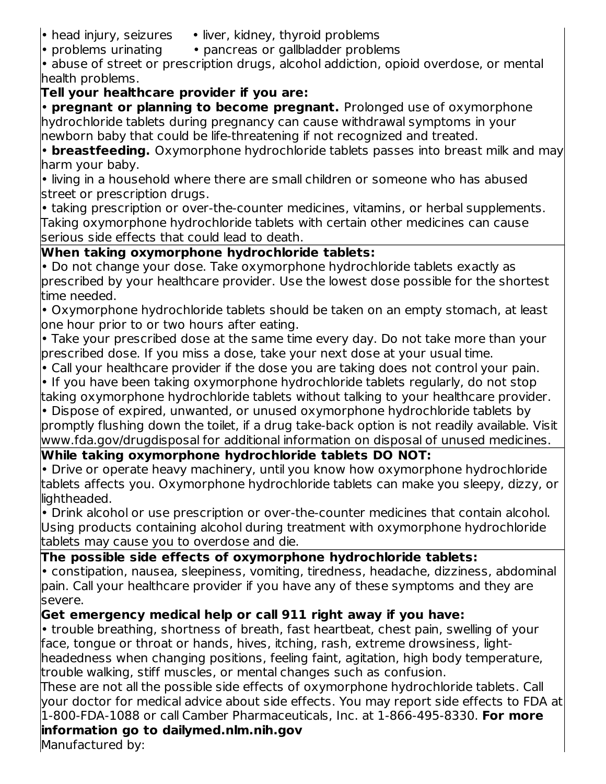- 
- head injury, seizures liver, kidney, thyroid problems
- problems urinating pancreas or gallbladder problems

• abuse of street or prescription drugs, alcohol addiction, opioid overdose, or mental health problems.

## **Tell your healthcare provider if you are:**

• **pregnant or planning to become pregnant.** Prolonged use of oxymorphone hydrochloride tablets during pregnancy can cause withdrawal symptoms in your newborn baby that could be life-threatening if not recognized and treated.

• **breastfeeding.** Oxymorphone hydrochloride tablets passes into breast milk and may harm your baby.

• living in a household where there are small children or someone who has abused street or prescription drugs.

• taking prescription or over-the-counter medicines, vitamins, or herbal supplements. Taking oxymorphone hydrochloride tablets with certain other medicines can cause serious side effects that could lead to death.

## **When taking oxymorphone hydrochloride tablets:**

• Do not change your dose. Take oxymorphone hydrochloride tablets exactly as prescribed by your healthcare provider. Use the lowest dose possible for the shortest time needed.

• Oxymorphone hydrochloride tablets should be taken on an empty stomach, at least one hour prior to or two hours after eating.

• Take your prescribed dose at the same time every day. Do not take more than your prescribed dose. If you miss a dose, take your next dose at your usual time.

• Call your healthcare provider if the dose you are taking does not control your pain.

• If you have been taking oxymorphone hydrochloride tablets regularly, do not stop taking oxymorphone hydrochloride tablets without talking to your healthcare provider.

• Dispose of expired, unwanted, or unused oxymorphone hydrochloride tablets by promptly flushing down the toilet, if a drug take-back option is not readily available. Visit www.fda.gov/drugdisposal for additional information on disposal of unused medicines.

### **While taking oxymorphone hydrochloride tablets DO NOT:**

• Drive or operate heavy machinery, until you know how oxymorphone hydrochloride tablets affects you. Oxymorphone hydrochloride tablets can make you sleepy, dizzy, or lightheaded.

• Drink alcohol or use prescription or over-the-counter medicines that contain alcohol. Using products containing alcohol during treatment with oxymorphone hydrochloride tablets may cause you to overdose and die.

## **The possible side effects of oxymorphone hydrochloride tablets:**

• constipation, nausea, sleepiness, vomiting, tiredness, headache, dizziness, abdominal pain. Call your healthcare provider if you have any of these symptoms and they are severe.

## **Get emergency medical help or call 911 right away if you have:**

• trouble breathing, shortness of breath, fast heartbeat, chest pain, swelling of your face, tongue or throat or hands, hives, itching, rash, extreme drowsiness, lightheadedness when changing positions, feeling faint, agitation, high body temperature, trouble walking, stiff muscles, or mental changes such as confusion.

These are not all the possible side effects of oxymorphone hydrochloride tablets. Call your doctor for medical advice about side effects. You may report side effects to FDA at 1-800-FDA-1088 or call Camber Pharmaceuticals, Inc. at 1-866-495-8330. **For more information go to dailymed.nlm.nih.gov**

Manufactured by: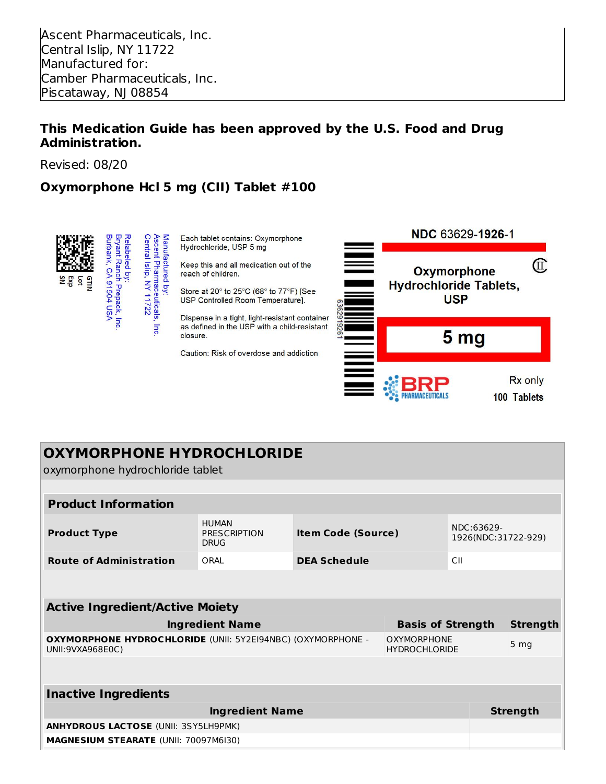Ascent Pharmaceuticals, Inc. Central Islip, NY 11722 Manufactured for: Camber Pharmaceuticals, Inc. Piscataway, NJ 08854

#### **This Medication Guide has been approved by the U.S. Food and Drug Administration.**

Revised: 08/20

#### **Oxymorphone Hcl 5 mg (CII) Tablet #100**



**PHARMACEUTICALS** 

100 Tablets

# **OXYMORPHONE HYDROCHLORIDE**

oxymorphone hydrochloride tablet

| <b>Product Information</b>                                                             |                                                    |                           |                                                               |            |                     |  |
|----------------------------------------------------------------------------------------|----------------------------------------------------|---------------------------|---------------------------------------------------------------|------------|---------------------|--|
| <b>Product Type</b>                                                                    | <b>HUMAN</b><br><b>PRESCRIPTION</b><br><b>DRUG</b> | <b>Item Code (Source)</b> |                                                               | NDC:63629- | 1926(NDC:31722-929) |  |
| <b>Route of Administration</b>                                                         | ORAI                                               | <b>DEA Schedule</b>       |                                                               | <b>CII</b> |                     |  |
|                                                                                        |                                                    |                           |                                                               |            |                     |  |
| <b>Active Ingredient/Active Moiety</b>                                                 |                                                    |                           |                                                               |            |                     |  |
| <b>Ingredient Name</b>                                                                 | <b>Basis of Strength</b>                           | <b>Strength</b>           |                                                               |            |                     |  |
| <b>OXYMORPHONE HYDROCHLORIDE (UNII: 5Y2EI94NBC) (OXYMORPHONE -</b><br>UNII:9VXA968E0C) |                                                    |                           | <b>OXYMORPHONE</b><br>5 <sub>mg</sub><br><b>HYDROCHLORIDE</b> |            |                     |  |
|                                                                                        |                                                    |                           |                                                               |            |                     |  |
| <b>Inactive Ingredients</b>                                                            |                                                    |                           |                                                               |            |                     |  |
| <b>Ingredient Name</b>                                                                 |                                                    |                           |                                                               |            | <b>Strength</b>     |  |
| <b>ANHYDROUS LACTOSE (UNII: 3SY5LH9PMK)</b>                                            |                                                    |                           |                                                               |            |                     |  |
| <b>MAGNESIUM STEARATE (UNII: 70097M6I30)</b>                                           |                                                    |                           |                                                               |            |                     |  |